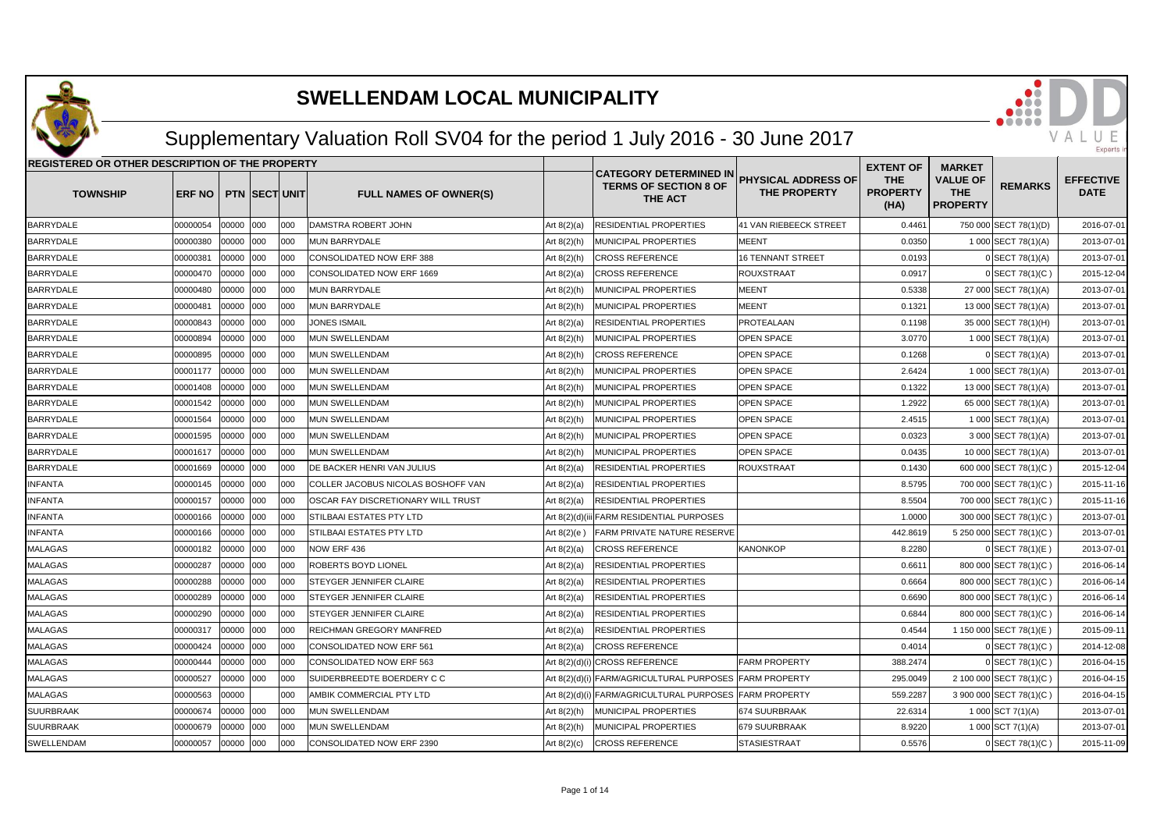

## Supplementary Valuation Roll SV04 for the period 1 July 2016 - 30 June 2017

| REGISTERED OR OTHER DESCRIPTION OF THE PROPERTY |          |           |                      |      |                                    |                |                                                                          |                                            | <b>EXTENT OF</b>                      | <b>MARKET</b>                                    |                         |                                 |
|-------------------------------------------------|----------|-----------|----------------------|------|------------------------------------|----------------|--------------------------------------------------------------------------|--------------------------------------------|---------------------------------------|--------------------------------------------------|-------------------------|---------------------------------|
| <b>TOWNSHIP</b>                                 | ERF NO   |           | <b>PTN SECT UNIT</b> |      | <b>FULL NAMES OF OWNER(S)</b>      |                | <b>CATEGORY DETERMINED IN</b><br><b>TERMS OF SECTION 8 OF</b><br>THE ACT | PHYSICAL ADDRESS OF<br><b>THE PROPERTY</b> | <b>THE</b><br><b>PROPERTY</b><br>(HA) | <b>VALUE OF</b><br><b>THE</b><br><b>PROPERTY</b> | <b>REMARKS</b>          | <b>EFFECTIVE</b><br><b>DATE</b> |
| <b>BARRYDALE</b>                                | 00000054 | 00000 000 |                      | 000  | DAMSTRA ROBERT JOHN                | Art $8(2)(a)$  | RESIDENTIAL PROPERTIES                                                   | 41 VAN RIEBEECK STREET                     | 0.4461                                |                                                  | 750 000 SECT 78(1)(D)   | 2016-07-01                      |
| <b>BARRYDALE</b>                                | 00000380 | 00000 000 |                      | 000  | <b>MUN BARRYDALE</b>               | Art $8(2)(h)$  | MUNICIPAL PROPERTIES                                                     | <b>MEENT</b>                               | 0.0350                                |                                                  | 1 000 SECT 78(1)(A)     | 2013-07-01                      |
| BARRYDALE                                       | 00000381 | 00000 000 |                      | 000  | CONSOLIDATED NOW ERF 388           | Art $8(2)(h)$  | <b>CROSS REFERENCE</b>                                                   | <b>16 TENNANT STREET</b>                   | 0.0193                                |                                                  | 0 SECT 78(1)(A)         | 2013-07-01                      |
| BARRYDALE                                       | 00000470 | 00000 000 |                      | 000  | CONSOLIDATED NOW ERF 1669          | Art $8(2)(a)$  | <b>CROSS REFERENCE</b>                                                   | <b>ROUXSTRAAT</b>                          | 0.0917                                |                                                  | 0 SECT 78(1)(C)         | 2015-12-04                      |
| BARRYDALE                                       | 00000480 | 00000 000 |                      | 1000 | <b>MUN BARRYDALE</b>               | Art $8(2)(h)$  | MUNICIPAL PROPERTIES                                                     | <b>MEENT</b>                               | 0.5338                                |                                                  | 27 000 SECT 78(1)(A)    | 2013-07-01                      |
| <b>BARRYDALE</b>                                | 00000481 | 00000 000 |                      | 1000 | <b>MUN BARRYDALE</b>               | Art $8(2)(h)$  | <b>MUNICIPAL PROPERTIES</b>                                              | <b>MEENT</b>                               | 0.1321                                |                                                  | 13 000 SECT 78(1)(A)    | 2013-07-01                      |
| BARRYDALE                                       | 00000843 | 00000     | 000                  | 000  | <b>JONES ISMAIL</b>                | Art 8(2)(a)    | RESIDENTIAL PROPERTIES                                                   | PROTEALAAN                                 | 0.1198                                |                                                  | 35 000 SECT 78(1)(H)    | 2013-07-01                      |
| BARRYDALE                                       | 00000894 | 00000 000 |                      | 000  | <b>MUN SWELLENDAM</b>              | Art 8(2)(h)    | MUNICIPAL PROPERTIES                                                     | OPEN SPACE                                 | 3.0770                                |                                                  | 1 000 SECT 78(1)(A)     | 2013-07-01                      |
| <b>BARRYDALE</b>                                | 00000895 | 00000 000 |                      | 1000 | <b>MUN SWELLENDAM</b>              | Art 8(2)(h)    | <b>CROSS REFERENCE</b>                                                   | <b>OPEN SPACE</b>                          | 0.1268                                |                                                  | 0 SECT 78(1)(A)         | 2013-07-01                      |
| BARRYDALE                                       | 00001177 | 00000 000 |                      | 000  | <b>MUN SWELLENDAM</b>              | Art 8(2)(h)    | MUNICIPAL PROPERTIES                                                     | OPEN SPACE                                 | 2.6424                                |                                                  | 1 000 SECT 78(1)(A)     | 2013-07-01                      |
| <b>BARRYDALE</b>                                | 00001408 | 00000 000 |                      | 000  | <b>MUN SWELLENDAM</b>              | Art $8(2)(h)$  | MUNICIPAL PROPERTIES                                                     | OPEN SPACE                                 | 0.1322                                |                                                  | 13 000 SECT 78(1)(A)    | 2013-07-01                      |
| <b>BARRYDALE</b>                                | 00001542 | 00000 000 |                      | 000  | <b>MUN SWELLENDAM</b>              | Art 8(2)(h)    | MUNICIPAL PROPERTIES                                                     | <b>OPEN SPACE</b>                          | 1.2922                                |                                                  | 65 000 SECT 78(1)(A)    | 2013-07-01                      |
| BARRYDALE                                       | 00001564 | 00000     | 000                  | 000  | MUN SWELLENDAM                     | Art 8(2)(h)    | MUNICIPAL PROPERTIES                                                     | OPEN SPACE                                 | 2.4515                                |                                                  | 1 000 SECT 78(1)(A)     | 2013-07-01                      |
| BARRYDALE                                       | 00001595 | 00000     | 000                  | 000  | MUN SWELLENDAM                     | Art 8(2)(h)    | MUNICIPAL PROPERTIES                                                     | OPEN SPACE                                 | 0.0323                                |                                                  | 3 000 SECT 78(1)(A)     | 2013-07-01                      |
| <b>BARRYDALE</b>                                | 00001617 | 00000     | 000                  | 1000 | <b>MUN SWELLENDAM</b>              | Art 8(2)(h)    | MUNICIPAL PROPERTIES                                                     | OPEN SPACE                                 | 0.0435                                |                                                  | 10 000 SECT 78(1)(A)    | 2013-07-01                      |
| <b>BARRYDALE</b>                                | 00001669 | 00000 000 |                      | 000  | <b>DE BACKER HENRI VAN JULIUS</b>  | Art 8(2)(a)    | RESIDENTIAL PROPERTIES                                                   | <b>ROUXSTRAAT</b>                          | 0.1430                                |                                                  | 600 000 SECT 78(1)(C)   | 2015-12-04                      |
| INFANTA                                         | 00000145 | 00000 000 |                      | 000  | COLLER JACOBUS NICOLAS BOSHOFF VAN | Art 8(2)(a)    | RESIDENTIAL PROPERTIES                                                   |                                            | 8.5795                                |                                                  | 700 000 SECT 78(1)(C)   | 2015-11-16                      |
| INFANTA                                         | 00000157 | 00000     | 000                  | 000  | OSCAR FAY DISCRETIONARY WILL TRUST | Art $8(2)(a)$  | RESIDENTIAL PROPERTIES                                                   |                                            | 8.5504                                |                                                  | 700 000 SECT 78(1)(C)   | 2015-11-16                      |
| INFANTA                                         | 00000166 | 00000     | 000                  | 000  | STILBAAI ESTATES PTY LTD           | Art 8(2)(d)(ii | <b>FARM RESIDENTIAL PURPOSES</b>                                         |                                            | 1.0000                                |                                                  | 300 000 SECT 78(1)(C)   | 2013-07-01                      |
| INFANTA                                         | 00000166 | 00000     | 000                  | 000  | STILBAAI ESTATES PTY LTD           | Art $8(2)(e)$  | <b>FARM PRIVATE NATURE RESERVE</b>                                       |                                            | 442.8619                              |                                                  | 5 250 000 SECT 78(1)(C) | 2013-07-01                      |
| MALAGAS                                         | 00000182 | 00000 000 |                      | 000  | NOW ERF 436                        | Art 8(2)(a)    | <b>CROSS REFERENCE</b>                                                   | <b>KANONKOP</b>                            | 8.2280                                |                                                  | SECT 78(1)(E)           | 2013-07-01                      |
| MALAGAS                                         | 00000287 | 00000 000 |                      | 000  | <b>ROBERTS BOYD LIONEL</b>         | Art $8(2)(a)$  | RESIDENTIAL PROPERTIES                                                   |                                            | 0.6611                                |                                                  | 800 000 SECT 78(1)(C)   | 2016-06-14                      |
| <b>MALAGAS</b>                                  | 00000288 | 00000 000 |                      | 000  | STEYGER JENNIFER CLAIRE            | Art $8(2)(a)$  | RESIDENTIAL PROPERTIES                                                   |                                            | 0.6664                                |                                                  | 800 000 SECT 78(1)(C)   | 2016-06-14                      |
| MALAGAS                                         | 00000289 | 00000 000 |                      | 000  | STEYGER JENNIFER CLAIRE            | Art $8(2)(a)$  | RESIDENTIAL PROPERTIES                                                   |                                            | 0.6690                                |                                                  | 800 000 SECT 78(1)(C)   | 2016-06-14                      |
| MALAGAS                                         | 00000290 | 00000 000 |                      | 1000 | <b>ISTEYGER JENNIFER CLAIRE</b>    | Art $8(2)(a)$  | RESIDENTIAL PROPERTIES                                                   |                                            | 0.6844                                |                                                  | 800 000 SECT 78(1)(C)   | 2016-06-14                      |
| MALAGAS                                         | 00000317 | 00000 000 |                      | 000  | REICHMAN GREGORY MANFRED           | Art $8(2)(a)$  | RESIDENTIAL PROPERTIES                                                   |                                            | 0.4544                                |                                                  | 1 150 000 SECT 78(1)(E) | 2015-09-11                      |
| MALAGAS                                         | 00000424 | 00000 000 |                      | 000  | <b>CONSOLIDATED NOW ERF 561</b>    | Art $8(2)(a)$  | <b>CROSS REFERENCE</b>                                                   |                                            | 0.4014                                |                                                  | 0 SECT 78(1)(C)         | 2014-12-08                      |
| MALAGAS                                         | 00000444 | 00000     | 000                  | 000  | CONSOLIDATED NOW ERF 563           |                | Art 8(2)(d)(i) CROSS REFERENCE                                           | <b>FARM PROPERTY</b>                       | 388.2474                              |                                                  | 0 SECT 78(1)(C)         | 2016-04-15                      |
| MALAGAS                                         | 00000527 | 00000     | 000                  | 000  | SUIDERBREEDTE BOERDERY C C         |                | Art 8(2)(d)(i) FARM/AGRICULTURAL PURPOSES FARM PROPERTY                  |                                            | 295.0049                              |                                                  | 2 100 000 SECT 78(1)(C) | 2016-04-15                      |
| MALAGAS                                         | 00000563 | 00000     |                      | 000  | AMBIK COMMERCIAL PTY LTD           |                | Art 8(2)(d)(i) FARM/AGRICULTURAL PURPOSES FARM PROPERTY                  |                                            | 559.2287                              |                                                  | 3 900 000 SECT 78(1)(C) | 2016-04-15                      |
| SUURBRAAK                                       | 00000674 | 00000 000 |                      | 000  | <b>MUN SWELLENDAM</b>              | Art $8(2)(h)$  | MUNICIPAL PROPERTIES                                                     | 674 SUURBRAAK                              | 22.6314                               |                                                  | 1 000 SCT 7(1)(A)       | 2013-07-01                      |
| SUURBRAAK                                       | 00000679 | 00000 000 |                      | 000  | <b>MUN SWELLENDAM</b>              | Art 8(2)(h)    | MUNICIPAL PROPERTIES                                                     | 679 SUURBRAAK                              | 8.9220                                |                                                  | 1 000 SCT 7(1)(A)       | 2013-07-01                      |
| SWELLENDAM                                      | 00000057 | 00000 000 |                      | 000  | CONSOLIDATED NOW ERF 2390          | Art $8(2)(c)$  | <b>CROSS REFERENCE</b>                                                   | <b>STASIESTRAAT</b>                        | 0.5576                                |                                                  | 0 SECT 78(1)(C)         | 2015-11-09                      |

VAL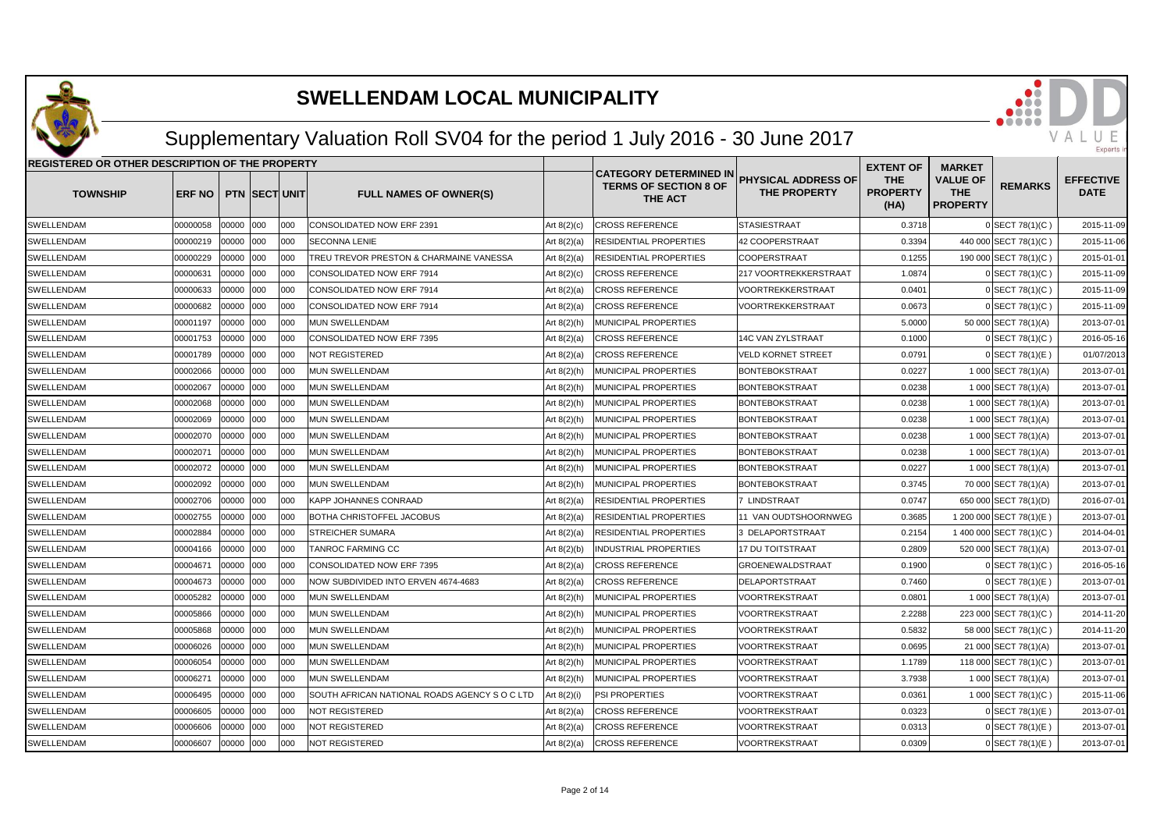

## Supplementary Valuation Roll SV04 for the period 1 July 2016 - 30 June 2017

| REGISTERED OR OTHER DESCRIPTION OF THE PROPERTY |          |       |                      |      |                                               |               |                                                                          |                                                   | <b>EXTENT OF</b>                      | <b>MARKET</b>                                    |                         |                                 |
|-------------------------------------------------|----------|-------|----------------------|------|-----------------------------------------------|---------------|--------------------------------------------------------------------------|---------------------------------------------------|---------------------------------------|--------------------------------------------------|-------------------------|---------------------------------|
| <b>TOWNSHIP</b>                                 | ERF NO   |       | <b>PTN SECT UNIT</b> |      | <b>FULL NAMES OF OWNER(S)</b>                 |               | <b>CATEGORY DETERMINED IN</b><br><b>TERMS OF SECTION 8 OF</b><br>THE ACT | <b>PHYSICAL ADDRESS OF</b><br><b>THE PROPERTY</b> | <b>THE</b><br><b>PROPERTY</b><br>(HA) | <b>VALUE OF</b><br><b>THE</b><br><b>PROPERTY</b> | <b>REMARKS</b>          | <b>EFFECTIVE</b><br><b>DATE</b> |
| SWELLENDAM                                      | 00000058 | 00000 | 000                  | 000  | CONSOLIDATED NOW ERF 2391                     | Art $8(2)(c)$ | <b>CROSS REFERENCE</b>                                                   | <b>STASIESTRAAT</b>                               | 0.3718                                |                                                  | 0 SECT 78(1)(C)         | 2015-11-09                      |
| SWELLENDAM                                      | 00000219 | 00000 | 000                  | 000  | <b>SECONNA LENIE</b>                          | Art $8(2)(a)$ | RESIDENTIAL PROPERTIES                                                   | 42 COOPERSTRAAT                                   | 0.3394                                |                                                  | 440 000 SECT 78(1)(C)   | 2015-11-06                      |
| SWELLENDAM                                      | 00000229 | 00000 | 000                  | 000  | TREU TREVOR PRESTON & CHARMAINE VANESSA       | Art $8(2)(a)$ | RESIDENTIAL PROPERTIES                                                   | <b>COOPERSTRAAT</b>                               | 0.1255                                |                                                  | 190 000 SECT 78(1)(C)   | 2015-01-01                      |
| SWELLENDAM                                      | 00000631 | 00000 | 000                  | 000  | CONSOLIDATED NOW ERF 7914                     | Art $8(2)(c)$ | <b>CROSS REFERENCE</b>                                                   | 217 VOORTREKKERSTRAAT                             | 1.0874                                |                                                  | 0 SECT 78(1)(C)         | 2015-11-09                      |
| SWELLENDAM                                      | 00000633 | 00000 | 000                  | 1000 | <b>CONSOLIDATED NOW ERF 7914</b>              | Art 8(2)(a)   | <b>CROSS REFERENCE</b>                                                   | <b>VOORTREKKERSTRAAT</b>                          | 0.0401                                |                                                  | 0 SECT 78(1)(C)         | 2015-11-09                      |
| SWELLENDAM                                      | 00000682 | 00000 | 000                  | 000  | CONSOLIDATED NOW ERF 7914                     | Art 8(2)(a)   | <b>CROSS REFERENCE</b>                                                   | VOORTREKKERSTRAAT                                 | 0.0673                                |                                                  | 0 SECT 78(1)(C)         | 2015-11-09                      |
| SWELLENDAM                                      | 00001197 | 00000 | 000                  | 000  | <b>MUN SWELLENDAM</b>                         | Art 8(2)(h)   | MUNICIPAL PROPERTIES                                                     |                                                   | 5.0000                                |                                                  | 50 000 SECT 78(1)(A)    | 2013-07-01                      |
| SWELLENDAM                                      | 00001753 | 00000 | 000                  | 000  | CONSOLIDATED NOW ERF 7395                     | Art 8(2)(a)   | <b>CROSS REFERENCE</b>                                                   | 14C VAN ZYLSTRAAT                                 | 0.1000                                |                                                  | 0 SECT 78(1)(C)         | 2016-05-16                      |
| SWELLENDAM                                      | 00001789 | 00000 | 000                  | 000  | <b>NOT REGISTERED</b>                         | Art 8(2)(a)   | <b>CROSS REFERENCE</b>                                                   | <b>VELD KORNET STREET</b>                         | 0.0791                                |                                                  | 0 SECT 78(1)(E)         | 01/07/2013                      |
| SWELLENDAM                                      | 00002066 | 00000 | 000                  | 000  | MUN SWELLENDAM                                | Art 8(2)(h)   | MUNICIPAL PROPERTIES                                                     | <b>BONTEBOKSTRAAT</b>                             | 0.0227                                |                                                  | 1 000 SECT 78(1)(A)     | 2013-07-01                      |
| SWELLENDAM                                      | 00002067 | 00000 | 000                  | 000  | MUN SWELLENDAM                                | Art 8(2)(h)   | MUNICIPAL PROPERTIES                                                     | <b>BONTEBOKSTRAAT</b>                             | 0.0238                                |                                                  | 1 000 SECT 78(1)(A)     | 2013-07-01                      |
| SWELLENDAM                                      | 00002068 | 00000 | 000                  | 000  | MUN SWELLENDAM                                | Art 8(2)(h)   | MUNICIPAL PROPERTIES                                                     | BONTEBOKSTRAAT                                    | 0.0238                                |                                                  | 1 000 SECT 78(1)(A)     | 2013-07-01                      |
| SWELLENDAM                                      | 00002069 | 00000 | 000                  | 1000 | MUN SWELLENDAM                                | Art 8(2)(h)   | MUNICIPAL PROPERTIES                                                     | <b>BONTEBOKSTRAAT</b>                             | 0.0238                                |                                                  | 1 000 SECT 78(1)(A)     | 2013-07-01                      |
| SWELLENDAM                                      | 00002070 | 00000 | 000                  | 1000 | <b>MUN SWELLENDAM</b>                         | Art 8(2)(h)   | <b>MUNICIPAL PROPERTIES</b>                                              | BONTEBOKSTRAAT                                    | 0.0238                                |                                                  | 1 000 SECT 78(1)(A)     | 2013-07-01                      |
| SWELLENDAM                                      | 00002071 | 00000 | 000                  | 000  | <b>MUN SWELLENDAM</b>                         | Art 8(2)(h)   | MUNICIPAL PROPERTIES                                                     | <b>BONTEBOKSTRAAT</b>                             | 0.0238                                |                                                  | 1 000 SECT 78(1)(A)     | 2013-07-01                      |
| SWELLENDAM                                      | 00002072 | 00000 | 000                  | 000  | MUN SWELLENDAM                                | Art 8(2)(h)   | MUNICIPAL PROPERTIES                                                     | <b>BONTEBOKSTRAAT</b>                             | 0.0227                                |                                                  | 1 000 SECT 78(1)(A)     | 2013-07-01                      |
| SWELLENDAM                                      | 00002092 | 00000 | 000                  | 000  | <b>MUN SWELLENDAM</b>                         | Art 8(2)(h)   | MUNICIPAL PROPERTIES                                                     | <b>BONTEBOKSTRAAT</b>                             | 0.3745                                |                                                  | 70 000 SECT 78(1)(A)    | 2013-07-01                      |
| SWELLENDAM                                      | 00002706 | 00000 | 000                  | 000  | <b>KAPP JOHANNES CONRAAD</b>                  | Art $8(2)(a)$ | RESIDENTIAL PROPERTIES                                                   | 7 LINDSTRAAT                                      | 0.0747                                |                                                  | 650 000 SECT 78(1)(D)   | 2016-07-01                      |
| SWELLENDAM                                      | 00002755 | 00000 | 000                  | 000  | <b>BOTHA CHRISTOFFEL JACOBUS</b>              | Art $8(2)(a)$ | RESIDENTIAL PROPERTIES                                                   | 11 VAN OUDTSHOORNWEG                              | 0.3685                                |                                                  | 1 200 000 SECT 78(1)(E) | 2013-07-01                      |
| SWELLENDAM                                      | 00002884 | 00000 | 000                  | 000  | <b>STREICHER SUMARA</b>                       | Art 8(2)(a)   | RESIDENTIAL PROPERTIES                                                   | 3 DELAPORTSTRAAT                                  | 0.2154                                |                                                  | 1 400 000 SECT 78(1)(C) | 2014-04-01                      |
| SWELLENDAM                                      | 00004166 | 00000 | 000                  | 000  | <b>TANROC FARMING CC</b>                      | Art 8(2)(b)   | INDUSTRIAL PROPERTIES                                                    | <b>17 DU TOITSTRAAT</b>                           | 0.2809                                |                                                  | 520 000 SECT 78(1)(A)   | 2013-07-01                      |
| SWELLENDAM                                      | 00004671 | 00000 | 000                  | 000  | CONSOLIDATED NOW ERF 7395                     | Art $8(2)(a)$ | <b>CROSS REFERENCE</b>                                                   | <b>GROENEWALDSTRAAT</b>                           | 0.1900                                |                                                  | 0 SECT 78(1)(C)         | 2016-05-16                      |
| SWELLENDAM                                      | 00004673 | 00000 | 000                  | 1000 | NOW SUBDIVIDED INTO ERVEN 4674-4683           | Art 8(2)(a)   | <b>CROSS REFERENCE</b>                                                   | <b>DELAPORTSTRAAT</b>                             | 0.7460                                |                                                  | $0$ SECT 78(1)(E)       | 2013-07-01                      |
| SWELLENDAM                                      | 00005282 | 00000 | 000                  | 000  | MUN SWELLENDAM                                | Art 8(2)(h)   | MUNICIPAL PROPERTIES                                                     | <b>VOORTREKSTRAAT</b>                             | 0.0801                                |                                                  | 1 000 SECT 78(1)(A)     | 2013-07-01                      |
| SWELLENDAM                                      | 00005866 | 00000 | 000                  | 000  | <b>MUN SWELLENDAM</b>                         | Art 8(2)(h)   | MUNICIPAL PROPERTIES                                                     | VOORTREKSTRAAT                                    | 2.2288                                |                                                  | 223 000 SECT 78(1)(C)   | 2014-11-20                      |
| SWELLENDAM                                      | 00005868 | 00000 | 000                  | 000  | MUN SWELLENDAM                                | Art 8(2)(h)   | MUNICIPAL PROPERTIES                                                     | <b>VOORTREKSTRAAT</b>                             | 0.5832                                |                                                  | 58 000 SECT 78(1)(C)    | 2014-11-20                      |
| SWELLENDAM                                      | 00006026 | 00000 | 000                  | 000  | MUN SWELLENDAM                                | Art 8(2)(h)   | MUNICIPAL PROPERTIES                                                     | <b>VOORTREKSTRAAT</b>                             | 0.0695                                |                                                  | 21 000 SECT 78(1)(A)    | 2013-07-01                      |
| SWELLENDAM                                      | 00006054 | 00000 | 000                  | 000  | <b>MUN SWELLENDAM</b>                         | Art 8(2)(h)   | <b>MUNICIPAL PROPERTIES</b>                                              | <b>VOORTREKSTRAAT</b>                             | 1.1789                                |                                                  | 118 000 SECT 78(1)(C)   | 2013-07-01                      |
| SWELLENDAM                                      | 00006271 | 00000 | 000                  | 000  | <b>MUN SWELLENDAM</b>                         | Art 8(2)(h)   | MUNICIPAL PROPERTIES                                                     | VOORTREKSTRAAT                                    | 3.7938                                |                                                  | 1 000 SECT 78(1)(A)     | 2013-07-01                      |
| SWELLENDAM                                      | 00006495 | 00000 | 000                  | 000  | SOUTH AFRICAN NATIONAL ROADS AGENCY S O C LTD | Art 8(2)(i)   | PSI PROPERTIES                                                           | VOORTREKSTRAAT                                    | 0.0361                                |                                                  | 1 000 SECT 78(1)(C)     | 2015-11-06                      |
| SWELLENDAM                                      | 00006605 | 00000 | 000                  | 000  | <b>NOT REGISTERED</b>                         | Art $8(2)(a)$ | <b>CROSS REFERENCE</b>                                                   | VOORTREKSTRAAT                                    | 0.0323                                |                                                  | 0 SECT 78(1)(E)         | 2013-07-01                      |
| SWELLENDAM                                      | 00006606 | 00000 | 000                  | 1000 | <b>NOT REGISTERED</b>                         | Art 8(2)(a)   | <b>CROSS REFERENCE</b>                                                   | <b>VOORTREKSTRAAT</b>                             | 0.0313                                |                                                  | 0 SECT 78(1)(E)         | 2013-07-01                      |
| SWELLENDAM                                      | 00006607 | 00000 | 000                  | looo | <b>NOT REGISTERED</b>                         | Art $8(2)(a)$ | <b>CROSS REFERENCE</b>                                                   | <b>VOORTREKSTRAAT</b>                             | 0.0309                                |                                                  | $0$ SECT 78(1)(E)       | 2013-07-01                      |

VAL

 $\Box$ Experts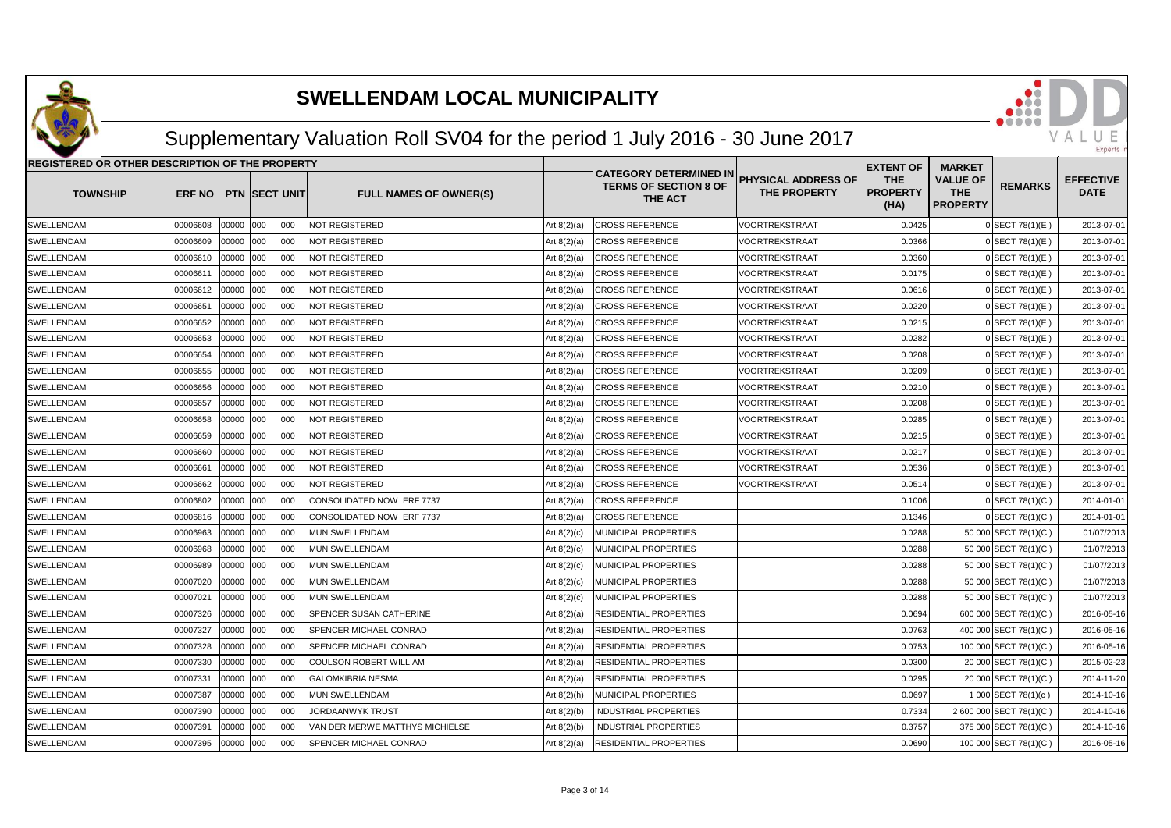

## Supplementary Valuation Roll SV04 for the period 1 July 2016 - 30 June 2017

| REGISTERED OR OTHER DESCRIPTION OF THE PROPERTY |               |           |                      |      |                                 |               |                                                                          |                                            | <b>EXTENT OF</b>                      | <b>MARKET</b>                                    |                         |                                 |
|-------------------------------------------------|---------------|-----------|----------------------|------|---------------------------------|---------------|--------------------------------------------------------------------------|--------------------------------------------|---------------------------------------|--------------------------------------------------|-------------------------|---------------------------------|
| <b>TOWNSHIP</b>                                 | <b>ERF NO</b> |           | <b>PTN SECT UNIT</b> |      | <b>FULL NAMES OF OWNER(S)</b>   |               | <b>CATEGORY DETERMINED IN</b><br><b>TERMS OF SECTION 8 OF</b><br>THE ACT | PHYSICAL ADDRESS OF<br><b>THE PROPERTY</b> | <b>THE</b><br><b>PROPERTY</b><br>(HA) | <b>VALUE OF</b><br><b>THE</b><br><b>PROPERTY</b> | <b>REMARKS</b>          | <b>EFFECTIVE</b><br><b>DATE</b> |
| SWELLENDAM                                      | 00006608      | 00000 000 |                      | 000  | <b>NOT REGISTERED</b>           | Art $8(2)(a)$ | <b>CROSS REFERENCE</b>                                                   | VOORTREKSTRAAT                             | 0.0425                                |                                                  | $0$ SECT 78(1)(E)       | 2013-07-01                      |
| SWELLENDAM                                      | 00006609      | 00000 000 |                      | 000  | <b>NOT REGISTERED</b>           | Art $8(2)(a)$ | <b>CROSS REFERENCE</b>                                                   | VOORTREKSTRAAT                             | 0.0366                                |                                                  | $0$ SECT 78(1)(E)       | 2013-07-01                      |
| SWELLENDAM                                      | 00006610      | 00000 000 |                      | 000  | <b>NOT REGISTERED</b>           | Art $8(2)(a)$ | <b>CROSS REFERENCE</b>                                                   | <b>VOORTREKSTRAAT</b>                      | 0.0360                                |                                                  | $0$ SECT 78(1)(E)       | 2013-07-01                      |
| SWELLENDAM                                      | 00006611      | 00000 000 |                      | 000  | <b>NOT REGISTERED</b>           | Art $8(2)(a)$ | <b>CROSS REFERENCE</b>                                                   | VOORTREKSTRAAT                             | 0.0175                                |                                                  | 0 SECT 78(1)(E)         | 2013-07-01                      |
| SWELLENDAM                                      | 00006612      | 00000 000 |                      | 000  | <b>NOT REGISTERED</b>           | Art $8(2)(a)$ | <b>CROSS REFERENCE</b>                                                   | VOORTREKSTRAAT                             | 0.0616                                |                                                  | 0 SECT 78(1)(E)         | 2013-07-01                      |
| SWELLENDAM                                      | 00006651      | 00000 000 |                      | 000  | <b>NOT REGISTERED</b>           | Art $8(2)(a)$ | <b>CROSS REFERENCE</b>                                                   | VOORTREKSTRAAT                             | 0.0220                                |                                                  | $0$ SECT 78(1)(E)       | 2013-07-01                      |
| SWELLENDAM                                      | 00006652      | 00000 000 |                      | 000  | <b>NOT REGISTERED</b>           | Art $8(2)(a)$ | <b>CROSS REFERENCE</b>                                                   | VOORTREKSTRAAT                             | 0.0215                                |                                                  | $0$ SECT 78(1)(E)       | 2013-07-01                      |
| SWELLENDAM                                      | 00006653      | 00000     | 000                  | 000  | <b>NOT REGISTERED</b>           | Art $8(2)(a)$ | <b>CROSS REFERENCE</b>                                                   | VOORTREKSTRAAT                             | 0.0282                                |                                                  | 0 SECT 78(1)(E)         | 2013-07-01                      |
| SWELLENDAM                                      | 00006654      | 00000     | 000                  | 000  | NOT REGISTERED                  | Art $8(2)(a)$ | <b>CROSS REFERENCE</b>                                                   | VOORTREKSTRAAT                             | 0.0208                                |                                                  | 0 SECT 78(1)(E)         | 2013-07-01                      |
| SWELLENDAM                                      | 00006655      | 00000 000 |                      | 000  | <b>NOT REGISTERED</b>           | Art $8(2)(a)$ | <b>CROSS REFERENCE</b>                                                   | VOORTREKSTRAAT                             | 0.0209                                |                                                  | $0$ SECT 78(1)(E)       | 2013-07-01                      |
| SWELLENDAM                                      | 00006656      | 00000 000 |                      | 000  | <b>NOT REGISTERED</b>           | Art $8(2)(a)$ | <b>CROSS REFERENCE</b>                                                   | VOORTREKSTRAAT                             | 0.0210                                |                                                  | 0 SECT 78(1)(E)         | 2013-07-01                      |
| SWELLENDAM                                      | 00006657      | 00000 000 |                      | 000  | NOT REGISTERED                  | Art $8(2)(a)$ | <b>CROSS REFERENCE</b>                                                   | VOORTREKSTRAAT                             | 0.0208                                |                                                  | $0$ SECT 78(1)(E)       | 2013-07-01                      |
| SWELLENDAM                                      | 00006658      | 00000     | 000                  | 000  | <b>NOT REGISTERED</b>           | Art $8(2)(a)$ | <b>CROSS REFERENCE</b>                                                   | VOORTREKSTRAAT                             | 0.0285                                |                                                  | $0$ SECT 78(1)(E)       | 2013-07-01                      |
| SWELLENDAM                                      | 00006659      | 00000     | 000                  | 000  | NOT REGISTERED                  | Art $8(2)(a)$ | <b>CROSS REFERENCE</b>                                                   | VOORTREKSTRAAT                             | 0.0215                                |                                                  | $0$ SECT 78(1)(E)       | 2013-07-01                      |
| SWELLENDAM                                      | 00006660      | 00000 000 |                      | 000  | <b>NOT REGISTERED</b>           | Art $8(2)(a)$ | <b>CROSS REFERENCE</b>                                                   | VOORTREKSTRAAT                             | 0.0217                                |                                                  | 0 SECT 78(1)(E)         | 2013-07-01                      |
| SWELLENDAM                                      | 00006661      | 00000 000 |                      | 000  | <b>NOT REGISTERED</b>           | Art $8(2)(a)$ | <b>CROSS REFERENCE</b>                                                   | VOORTREKSTRAAT                             | 0.0536                                |                                                  | $0$ SECT 78(1)(E)       | 2013-07-01                      |
| SWELLENDAM                                      | 00006662      | 00000 000 |                      | 1000 | <b>NOT REGISTERED</b>           | Art $8(2)(a)$ | <b>CROSS REFERENCE</b>                                                   | VOORTREKSTRAAT                             | 0.0514                                |                                                  | $0$ SECT 78(1)(E)       | 2013-07-01                      |
| SWELLENDAM                                      | 00006802      | 00000     | 000                  | 000  | CONSOLIDATED NOW ERF 7737       | Art $8(2)(a)$ | <b>CROSS REFERENCE</b>                                                   |                                            | 0.1006                                |                                                  | 0 SECT 78(1)(C)         | 2014-01-01                      |
| SWELLENDAM                                      | 00006816      | 00000     | 000                  | 000  | CONSOLIDATED NOW ERF 7737       | Art $8(2)(a)$ | <b>CROSS REFERENCE</b>                                                   |                                            | 0.1346                                |                                                  | 0 SECT 78(1)(C)         | 2014-01-01                      |
| SWELLENDAM                                      | 00006963      | 00000     | 000                  | 000  | <b>MUN SWELLENDAM</b>           | Art $8(2)(c)$ | MUNICIPAL PROPERTIES                                                     |                                            | 0.0288                                |                                                  | 50 000 SECT 78(1)(C)    | 01/07/2013                      |
| SWELLENDAM                                      | 00006968      | 00000 000 |                      | 000  | <b>MUN SWELLENDAM</b>           | Art $8(2)(c)$ | <b>MUNICIPAL PROPERTIES</b>                                              |                                            | 0.0288                                |                                                  | 50 000 SECT 78(1)(C)    | 01/07/2013                      |
| SWELLENDAM                                      | 00006989      | 00000 000 |                      | 000  | MUN SWELLENDAM                  | Art $8(2)(c)$ | MUNICIPAL PROPERTIES                                                     |                                            | 0.0288                                |                                                  | 50 000 SECT 78(1)(C)    | 01/07/2013                      |
| SWELLENDAM                                      | 00007020      | 00000 000 |                      | 000  | <b>MUN SWELLENDAM</b>           | Art $8(2)(c)$ | MUNICIPAL PROPERTIES                                                     |                                            | 0.0288                                |                                                  | 50 000 SECT 78(1)(C)    | 01/07/2013                      |
| SWELLENDAM                                      | 00007021      | 00000     | 000                  | 000  | <b>MUN SWELLENDAM</b>           | Art $8(2)(c)$ | MUNICIPAL PROPERTIES                                                     |                                            | 0.0288                                |                                                  | 50 000 SECT 78(1)(C)    | 01/07/2013                      |
| SWELLENDAM                                      | 00007326      | 00000 000 |                      | 000  | SPENCER SUSAN CATHERINE         | Art $8(2)(a)$ | RESIDENTIAL PROPERTIES                                                   |                                            | 0.0694                                |                                                  | 600 000 SECT 78(1)(C)   | 2016-05-16                      |
| SWELLENDAM                                      | 00007327      | 00000 000 |                      | 000  | SPENCER MICHAEL CONRAD          | Art $8(2)(a)$ | RESIDENTIAL PROPERTIES                                                   |                                            | 0.0763                                |                                                  | 400 000 SECT 78(1)(C)   | 2016-05-16                      |
| SWELLENDAM                                      | 00007328      | 00000 000 |                      | 000  | <b>SPENCER MICHAEL CONRAD</b>   | Art $8(2)(a)$ | <b>RESIDENTIAL PROPERTIES</b>                                            |                                            | 0.0753                                |                                                  | 100 000 SECT 78(1)(C)   | 2016-05-16                      |
| SWELLENDAM                                      | 00007330      | 00000     | 000                  | 000  | <b>COULSON ROBERT WILLIAM</b>   | Art $8(2)(a)$ | <b>RESIDENTIAL PROPERTIES</b>                                            |                                            | 0.0300                                |                                                  | 20 000 SECT 78(1)(C)    | 2015-02-23                      |
| SWELLENDAM                                      | 00007331      | 00000     | 000                  | 000  | <b>GALOMKIBRIA NESMA</b>        | Art $8(2)(a)$ | RESIDENTIAL PROPERTIES                                                   |                                            | 0.0295                                |                                                  | 20 000 SECT 78(1)(C)    | 2014-11-20                      |
| SWELLENDAM                                      | 00007387      | 00000     | 000                  | 000  | <b>MUN SWELLENDAM</b>           | Art $8(2)(h)$ | MUNICIPAL PROPERTIES                                                     |                                            | 0.0697                                |                                                  | 1 000 SECT 78(1)(c)     | 2014-10-16                      |
| SWELLENDAM                                      | 00007390      | 00000 000 |                      | 000  | JORDAANWYK TRUST                | Art $8(2)(b)$ | <b>INDUSTRIAL PROPERTIES</b>                                             |                                            | 0.7334                                |                                                  | 2 600 000 SECT 78(1)(C) | 2014-10-16                      |
| SWELLENDAM                                      | 00007391      | 00000 000 |                      | 000  | VAN DER MERWE MATTHYS MICHIELSE | Art $8(2)(b)$ | <b>INDUSTRIAL PROPERTIES</b>                                             |                                            | 0.3757                                |                                                  | 375 000 SECT 78(1)(C)   | 2014-10-16                      |
| SWELLENDAM                                      | 00007395      | 00000 000 |                      | 000  | SPENCER MICHAEL CONRAD          | Art $8(2)(a)$ | RESIDENTIAL PROPERTIES                                                   |                                            | 0.0690                                |                                                  | 100 000 SECT 78(1)(C)   | 2016-05-16                      |

VAL

IJ Experts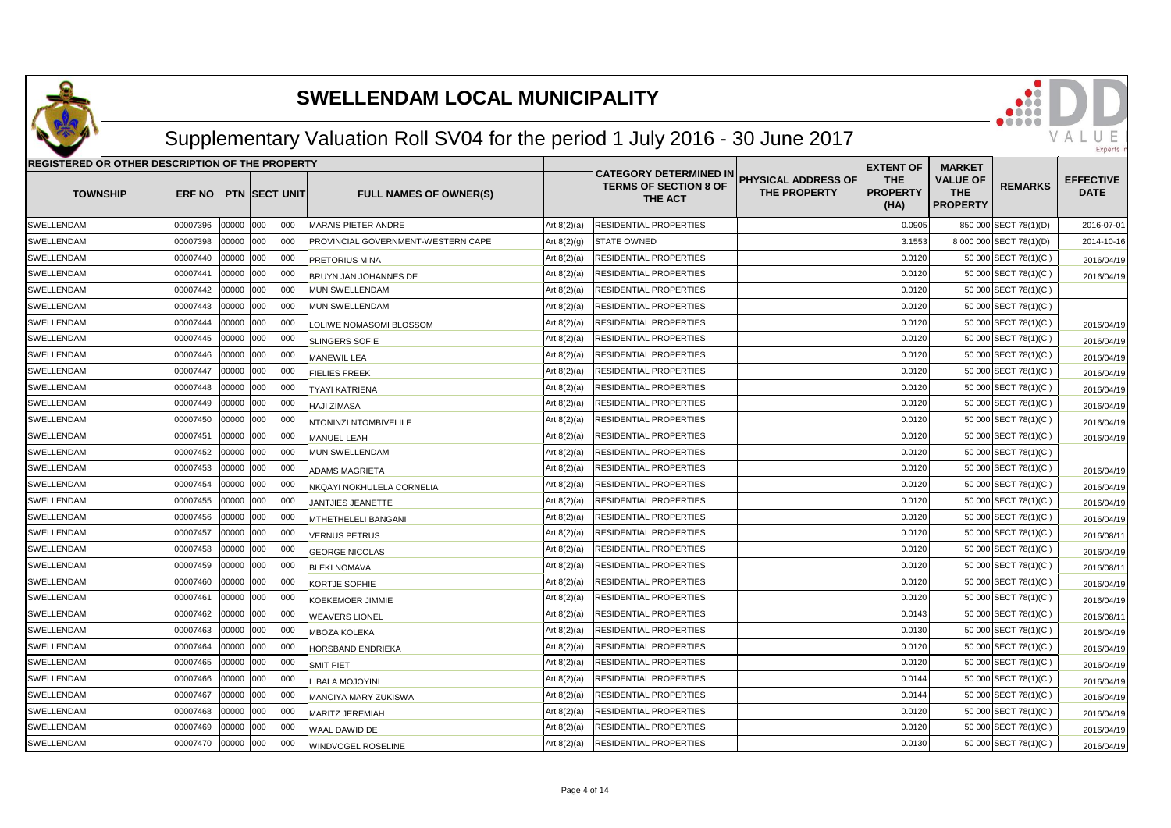

## Supplementary Valuation Roll SV04 for the period 1 July 2016 - 30 June 2017

| REGISTERED OR OTHER DESCRIPTION OF THE PROPERTY |               |            |                      |      |                                    |               |                                                                                                                        | <b>EXTENT OF</b>                      | <b>MARKET</b>                                    |                         |                                 |
|-------------------------------------------------|---------------|------------|----------------------|------|------------------------------------|---------------|------------------------------------------------------------------------------------------------------------------------|---------------------------------------|--------------------------------------------------|-------------------------|---------------------------------|
| <b>TOWNSHIP</b>                                 | <b>ERF NO</b> |            | <b>PTN SECT UNIT</b> |      | <b>FULL NAMES OF OWNER(S)</b>      |               | <b>CATEGORY DETERMINED IN</b><br><b>PHYSICAL ADDRESS OF</b><br><b>TERMS OF SECTION 8 OF</b><br>THE PROPERTY<br>THE ACT | <b>THE</b><br><b>PROPERTY</b><br>(HA) | <b>VALUE OF</b><br><b>THE</b><br><b>PROPERTY</b> | <b>REMARKS</b>          | <b>EFFECTIVE</b><br><b>DATE</b> |
| SWELLENDAM                                      | 00007396      | 0000 000   |                      | looo | <b>MARAIS PIETER ANDRE</b>         | Art $8(2)(a)$ | <b>RESIDENTIAL PROPERTIES</b>                                                                                          | 0.0905                                |                                                  | 850 000 SECT 78(1)(D)   | 2016-07-01                      |
| SWELLENDAM                                      | 00007398      | 00000 000  |                      | 000  | PROVINCIAL GOVERNMENT-WESTERN CAPE | Art $8(2)(g)$ | <b>STATE OWNED</b>                                                                                                     | 3.1553                                |                                                  | 8 000 000 SECT 78(1)(D) | 2014-10-16                      |
| <b>SWELLENDAM</b>                               | 00007440      | 00000 000  |                      | 000  | PRETORIUS MINA                     | Art $8(2)(a)$ | <b>RESIDENTIAL PROPERTIES</b>                                                                                          | 0.0120                                |                                                  | 50 000 SECT 78(1)(C)    | 2016/04/19                      |
| SWELLENDAM                                      | 00007441      | 00000      | 000                  | 000  | BRUYN JAN JOHANNES DE              | Art $8(2)(a)$ | RESIDENTIAL PROPERTIES                                                                                                 | 0.0120                                |                                                  | 50 000 SECT 78(1)(C)    | 2016/04/19                      |
| SWELLENDAM                                      | 00007442      | 00000      | 000                  | 000  | <b>MUN SWELLENDAM</b>              | Art $8(2)(a)$ | RESIDENTIAL PROPERTIES                                                                                                 | 0.0120                                |                                                  | 50 000 SECT 78(1)(C)    |                                 |
| SWELLENDAM                                      | 00007443      | 00000 000  |                      | 000  | MUN SWELLENDAM                     | Art $8(2)(a)$ | RESIDENTIAL PROPERTIES                                                                                                 | 0.0120                                |                                                  | 50 000 SECT 78(1)(C)    |                                 |
| SWELLENDAM                                      | 00007444      | 00000 000  |                      | 000  | LOLIWE NOMASOMI BLOSSOM            | Art $8(2)(a)$ | RESIDENTIAL PROPERTIES                                                                                                 | 0.0120                                |                                                  | 50 000 SECT 78(1)(C)    | 2016/04/19                      |
| SWELLENDAM                                      | 00007445      | 00000 000  |                      | 000  | SLINGERS SOFIE                     | Art 8(2)(a)   | RESIDENTIAL PROPERTIES                                                                                                 | 0.0120                                |                                                  | 50 000 SECT 78(1)(C)    | 2016/04/19                      |
| SWELLENDAM                                      | 00007446      | 00000 000  |                      | 000  | <b>MANEWIL LEA</b>                 | Art $8(2)(a)$ | RESIDENTIAL PROPERTIES                                                                                                 | 0.0120                                |                                                  | 50 000 SECT 78(1)(C)    | 2016/04/19                      |
| SWELLENDAM                                      | 00007447      | 00000 000  |                      | 000  | <b>FIELIES FREEK</b>               | Art $8(2)(a)$ | RESIDENTIAL PROPERTIES                                                                                                 | 0.0120                                |                                                  | 50 000 SECT 78(1)(C)    | 2016/04/19                      |
| SWELLENDAM                                      | 00007448      | 00000 000  |                      | 000  | <b>TYAYI KATRIENA</b>              | Art $8(2)(a)$ | RESIDENTIAL PROPERTIES                                                                                                 | 0.0120                                |                                                  | 50 000 SECT 78(1)(C)    | 2016/04/19                      |
| SWELLENDAM                                      | 00007449      | 00000 000  |                      | 000  | <b>HAJI ZIMASA</b>                 | Art $8(2)(a)$ | RESIDENTIAL PROPERTIES                                                                                                 | 0.0120                                |                                                  | 50 000 SECT 78(1)(C)    | 2016/04/19                      |
| SWELLENDAM                                      | 00007450      | 00000 000  |                      | 000  | NTONINZI NTOMBIVELILE              | Art $8(2)(a)$ | RESIDENTIAL PROPERTIES                                                                                                 | 0.0120                                |                                                  | 50 000 SECT 78(1)(C)    | 2016/04/19                      |
| SWELLENDAM                                      | 00007451      | 00000 000  |                      | 000  | <b>MANUEL LEAH</b>                 | Art $8(2)(a)$ | <b>RESIDENTIAL PROPERTIES</b>                                                                                          | 0.0120                                |                                                  | 50 000 SECT 78(1)(C)    | 2016/04/19                      |
| SWELLENDAM                                      | 00007452      | 00000      | 000                  | 000  | <b>MUN SWELLENDAM</b>              | Art $8(2)(a)$ | RESIDENTIAL PROPERTIES                                                                                                 | 0.0120                                |                                                  | 50 000 SECT 78(1)(C)    |                                 |
| SWELLENDAM                                      | 00007453      | 00000  000 |                      | 000  | <b>ADAMS MAGRIETA</b>              | Art $8(2)(a)$ | RESIDENTIAL PROPERTIES                                                                                                 | 0.0120                                |                                                  | 50 000 SECT 78(1)(C)    | 2016/04/19                      |
| SWELLENDAM                                      | 00007454      | 0000 000   |                      | 000  | NKQAYI NOKHULELA CORNELIA          | Art $8(2)(a)$ | RESIDENTIAL PROPERTIES                                                                                                 | 0.0120                                |                                                  | 50 000 SECT 78(1)(C)    | 2016/04/19                      |
| SWELLENDAM                                      | 00007455      | 0000 000   |                      | 000  | JANTJIES JEANETTE                  | Art $8(2)(a)$ | RESIDENTIAL PROPERTIES                                                                                                 | 0.0120                                |                                                  | 50 000 SECT 78(1)(C)    | 2016/04/19                      |
| SWELLENDAM                                      | 00007456      | 00000 000  |                      | 000  | MTHETHELELI BANGANI                | Art $8(2)(a)$ | RESIDENTIAL PROPERTIES                                                                                                 | 0.0120                                |                                                  | 50 000 SECT 78(1)(C)    | 2016/04/19                      |
| <b>SWELLENDAM</b>                               | 00007457      | 00000 000  |                      | 000  | <b>VERNUS PETRUS</b>               | Art $8(2)(a)$ | RESIDENTIAL PROPERTIES                                                                                                 | 0.0120                                |                                                  | 50 000 SECT 78(1)(C)    | 2016/08/1                       |
| SWELLENDAM                                      | 00007458      | 00000 000  |                      | 000  | <b>GEORGE NICOLAS</b>              | Art $8(2)(a)$ | RESIDENTIAL PROPERTIES                                                                                                 | 0.0120                                |                                                  | 50 000 SECT 78(1)(C)    | 2016/04/19                      |
| SWELLENDAM                                      | 00007459      | 00000 000  |                      | 000  | <b>BLEKI NOMAVA</b>                | Art $8(2)(a)$ | RESIDENTIAL PROPERTIES                                                                                                 | 0.0120                                |                                                  | 50 000 SECT 78(1)(C)    | 2016/08/1                       |
| <b>SWELLENDAM</b>                               | 00007460      | 00000 000  |                      | 000  | KORTJE SOPHIE                      | Art $8(2)(a)$ | RESIDENTIAL PROPERTIES                                                                                                 | 0.0120                                |                                                  | 50 000 SECT 78(1)(C)    | 2016/04/19                      |
| SWELLENDAM                                      | 00007461      | 00000 000  |                      | 000  | KOEKEMOER JIMMIE                   | Art $8(2)(a)$ | RESIDENTIAL PROPERTIES                                                                                                 | 0.0120                                |                                                  | 50 000 SECT 78(1)(C)    | 2016/04/19                      |
| <b>SWELLENDAM</b>                               | 00007462      | 00000      | 000                  | 000  | <b>WEAVERS LIONEL</b>              | Art $8(2)(a)$ | RESIDENTIAL PROPERTIES                                                                                                 | 0.0143                                |                                                  | 50 000 SECT 78(1)(C)    | 2016/08/11                      |
| SWELLENDAM                                      | 00007463      | 00000      | 000                  | 000  | <b>MBOZA KOLEKA</b>                | Art $8(2)(a)$ | RESIDENTIAL PROPERTIES                                                                                                 | 0.0130                                |                                                  | 50 000 SECT 78(1)(C)    | 2016/04/19                      |
| SWELLENDAM                                      | 00007464      | 00000      | 000                  | 000  | HORSBAND ENDRIEKA                  | Art $8(2)(a)$ | RESIDENTIAL PROPERTIES                                                                                                 | 0.0120                                |                                                  | 50 000 SECT 78(1)(C)    | 2016/04/19                      |
| SWELLENDAM                                      | 00007465      | 00000 000  |                      | 000  | <b>SMIT PIET</b>                   | Art $8(2)(a)$ | RESIDENTIAL PROPERTIES                                                                                                 | 0.0120                                |                                                  | 50 000 SECT 78(1)(C)    | 2016/04/19                      |
| SWELLENDAM                                      | 00007466      | 00000 000  |                      | 000  | LIBALA MOJOYINI                    | Art $8(2)(a)$ | RESIDENTIAL PROPERTIES                                                                                                 | 0.0144                                |                                                  | 50 000 SECT 78(1)(C)    | 2016/04/19                      |
| SWELLENDAM                                      | 00007467      | 00000 000  |                      | 000  | MANCIYA MARY ZUKISWA               | Art $8(2)(a)$ | RESIDENTIAL PROPERTIES                                                                                                 | 0.0144                                |                                                  | 50 000 SECT 78(1)(C)    | 2016/04/19                      |
| <b>SWELLENDAM</b>                               | 00007468      | 00000  000 |                      | 000  | MARITZ JEREMIAH                    | Art $8(2)(a)$ | RESIDENTIAL PROPERTIES                                                                                                 | 0.0120                                |                                                  | 50 000 SECT 78(1)(C)    | 2016/04/19                      |
| SWELLENDAM                                      | 00007469      | 00000 000  |                      | 000  | WAAL DAWID DE                      | Art $8(2)(a)$ | RESIDENTIAL PROPERTIES                                                                                                 | 0.0120                                |                                                  | 50 000 SECT 78(1)(C)    | 2016/04/19                      |
| SWELLENDAM                                      | 00007470      | 00000 000  |                      | 000  | WINDVOGEL ROSELINE                 | Art $8(2)(a)$ | RESIDENTIAL PROPERTIES                                                                                                 | 0.0130                                |                                                  | 50 000 SECT 78(1)(C)    | 2016/04/19                      |

VALU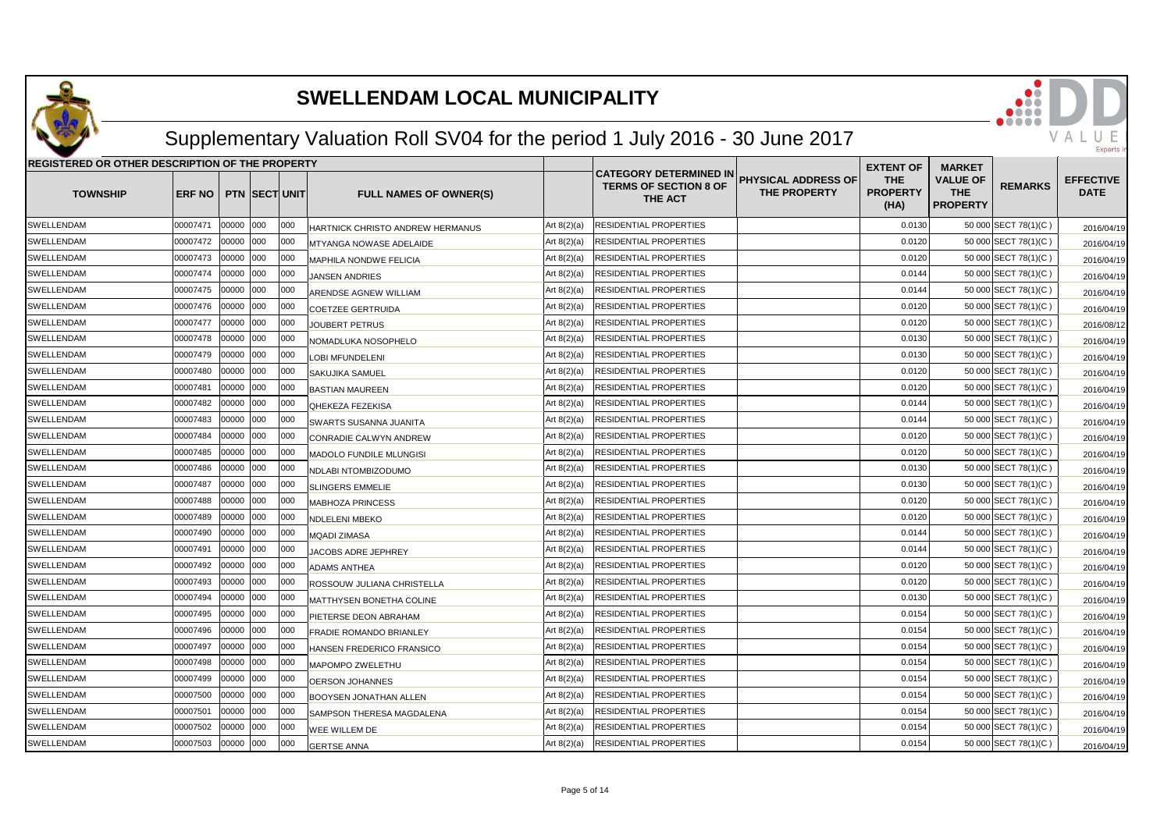

## Supplementary Valuation Roll SV04 for the period 1 July 2016 - 30 June 2017

| REGISTERED OR OTHER DESCRIPTION OF THE PROPERTY |          |           |                      |      |                                  |               |                                                                          |                                            | <b>EXTENT OF</b>                      | <b>MARKET</b>                                    |                      |                                 |
|-------------------------------------------------|----------|-----------|----------------------|------|----------------------------------|---------------|--------------------------------------------------------------------------|--------------------------------------------|---------------------------------------|--------------------------------------------------|----------------------|---------------------------------|
| <b>TOWNSHIP</b>                                 | ERF NO   |           | <b>PTN SECT UNIT</b> |      | <b>FULL NAMES OF OWNER(S)</b>    |               | <b>CATEGORY DETERMINED IN</b><br><b>TERMS OF SECTION 8 OF</b><br>THE ACT | PHYSICAL ADDRESS OF<br><b>THE PROPERTY</b> | <b>THE</b><br><b>PROPERTY</b><br>(HA) | <b>VALUE OF</b><br><b>THE</b><br><b>PROPERTY</b> | <b>REMARKS</b>       | <b>EFFECTIVE</b><br><b>DATE</b> |
| SWELLENDAM                                      | 00007471 | 00000 000 |                      | 000  | HARTNICK CHRISTO ANDREW HERMANUS | Art $8(2)(a)$ | RESIDENTIAL PROPERTIES                                                   |                                            | 0.0130                                |                                                  | 50 000 SECT 78(1)(C) | 2016/04/19                      |
| SWELLENDAM                                      | 00007472 | 00000 000 |                      | 000  | <b>MTYANGA NOWASE ADELAIDE</b>   | Art $8(2)(a)$ | RESIDENTIAL PROPERTIES                                                   |                                            | 0.0120                                |                                                  | 50 000 SECT 78(1)(C) | 2016/04/19                      |
| SWELLENDAM                                      | 00007473 | 00000 000 |                      | 000  | <b>MAPHILA NONDWE FELICIA</b>    | Art $8(2)(a)$ | RESIDENTIAL PROPERTIES                                                   |                                            | 0.0120                                |                                                  | 50 000 SECT 78(1)(C) | 2016/04/19                      |
| SWELLENDAM                                      | 00007474 | 00000 000 |                      | 000  | <b>JANSEN ANDRIES</b>            | Art $8(2)(a)$ | RESIDENTIAL PROPERTIES                                                   |                                            | 0.0144                                |                                                  | 50 000 SECT 78(1)(C) | 2016/04/19                      |
| SWELLENDAM                                      | 00007475 | 00000 000 |                      | 000  | ARENDSE AGNEW WILLIAM            | Art $8(2)(a)$ | RESIDENTIAL PROPERTIES                                                   |                                            | 0.0144                                |                                                  | 50 000 SECT 78(1)(C) | 2016/04/19                      |
| SWELLENDAM                                      | 00007476 | 00000 000 |                      | 000  | <b>COETZEE GERTRUIDA</b>         | Art $8(2)(a)$ | RESIDENTIAL PROPERTIES                                                   |                                            | 0.0120                                |                                                  | 50 000 SECT 78(1)(C) | 2016/04/19                      |
| SWELLENDAM                                      | 00007477 | 00000 000 |                      | 000  | <b>JOUBERT PETRUS</b>            | Art $8(2)(a)$ | RESIDENTIAL PROPERTIES                                                   |                                            | 0.0120                                |                                                  | 50 000 SECT 78(1)(C) | 2016/08/12                      |
| SWELLENDAM                                      | 00007478 | 00000     | 000                  | 000  | NOMADLUKA NOSOPHELO              | Art $8(2)(a)$ | RESIDENTIAL PROPERTIES                                                   |                                            | 0.0130                                |                                                  | 50 000 SECT 78(1)(C) | 2016/04/19                      |
| SWELLENDAM                                      | 00007479 | 00000     | 000                  | 000  | LOBI MFUNDELENI                  | Art $8(2)(a)$ | RESIDENTIAL PROPERTIES                                                   |                                            | 0.0130                                |                                                  | 50 000 SECT 78(1)(C) | 2016/04/19                      |
| SWELLENDAM                                      | 00007480 | 00000     | 000                  | 000  | <b>SAKUJIKA SAMUEL</b>           | Art $8(2)(a)$ | RESIDENTIAL PROPERTIES                                                   |                                            | 0.0120                                |                                                  | 50 000 SECT 78(1)(C) | 2016/04/19                      |
| SWELLENDAM                                      | 00007481 | 00000 000 |                      | 000  | <b>BASTIAN MAUREEN</b>           | Art $8(2)(a)$ | RESIDENTIAL PROPERTIES                                                   |                                            | 0.0120                                |                                                  | 50 000 SECT 78(1)(C) | 2016/04/19                      |
| SWELLENDAM                                      | 00007482 | 00000 000 |                      | 000  | <b>QHEKEZA FEZEKISA</b>          | Art $8(2)(a)$ | RESIDENTIAL PROPERTIES                                                   |                                            | 0.0144                                |                                                  | 50 000 SECT 78(1)(C) | 2016/04/19                      |
| SWELLENDAM                                      | 00007483 | 00000 000 |                      | 000  | SWARTS SUSANNA JUANITA           | Art $8(2)(a)$ | RESIDENTIAL PROPERTIES                                                   |                                            | 0.0144                                |                                                  | 50 000 SECT 78(1)(C) | 2016/04/19                      |
| SWELLENDAM                                      | 00007484 | 00000 000 |                      | 000  | CONRADIE CALWYN ANDREW           | Art $8(2)(a)$ | RESIDENTIAL PROPERTIES                                                   |                                            | 0.0120                                |                                                  | 50 000 SECT 78(1)(C) | 2016/04/19                      |
| SWELLENDAM                                      | 00007485 | 00000     | 000                  | 000  | MADOLO FUNDILE MLUNGISI          | Art $8(2)(a)$ | RESIDENTIAL PROPERTIES                                                   |                                            | 0.0120                                |                                                  | 50 000 SECT 78(1)(C) | 2016/04/19                      |
| SWELLENDAM                                      | 00007486 | 00000     | 000                  | 000  | NDLABI NTOMBIZODUMO              | Art $8(2)(a)$ | RESIDENTIAL PROPERTIES                                                   |                                            | 0.0130                                |                                                  | 50 000 SECT 78(1)(C) | 2016/04/19                      |
| SWELLENDAM                                      | 00007487 | 00000 000 |                      | 000  | <b>SLINGERS EMMELIE</b>          | Art $8(2)(a)$ | RESIDENTIAL PROPERTIES                                                   |                                            | 0.0130                                |                                                  | 50 000 SECT 78(1)(C) | 2016/04/19                      |
| SWELLENDAM                                      | 00007488 | 00000 000 |                      | 000  | <b>MABHOZA PRINCESS</b>          | Art $8(2)(a)$ | RESIDENTIAL PROPERTIES                                                   |                                            | 0.0120                                |                                                  | 50 000 SECT 78(1)(C) | 2016/04/19                      |
| SWELLENDAM                                      | 00007489 | 00000 000 |                      | 1000 | NDLELENI MBEKO                   | Art 8(2)(a)   | RESIDENTIAL PROPERTIES                                                   |                                            | 0.0120                                |                                                  | 50 000 SECT 78(1)(C) | 2016/04/19                      |
| SWELLENDAM                                      | 00007490 | 00000 000 |                      | 000  | <b>MQADI ZIMASA</b>              | Art 8(2)(a)   | RESIDENTIAL PROPERTIES                                                   |                                            | 0.0144                                |                                                  | 50 000 SECT 78(1)(C) | 2016/04/19                      |
| SWELLENDAM                                      | 00007491 | 00000     | 000                  | 000  | JACOBS ADRE JEPHREY              | Art 8(2)(a)   | RESIDENTIAL PROPERTIES                                                   |                                            | 0.0144                                |                                                  | 50 000 SECT 78(1)(C) | 2016/04/19                      |
| SWELLENDAM                                      | 00007492 | 00000     | 000                  | 000  | <b>ADAMS ANTHEA</b>              | Art 8(2)(a)   | RESIDENTIAL PROPERTIES                                                   |                                            | 0.0120                                |                                                  | 50 000 SECT 78(1)(C) | 2016/04/19                      |
| SWELLENDAM                                      | 00007493 | 00000 000 |                      | 000  | ROSSOUW JULIANA CHRISTELLA       | Art $8(2)(a)$ | RESIDENTIAL PROPERTIES                                                   |                                            | 0.0120                                |                                                  | 50 000 SECT 78(1)(C) | 2016/04/19                      |
| SWELLENDAM                                      | 00007494 | 00000 000 |                      | 000  | MATTHYSEN BONETHA COLINE         | Art $8(2)(a)$ | RESIDENTIAL PROPERTIES                                                   |                                            | 0.0130                                |                                                  | 50 000 SECT 78(1)(C) | 2016/04/19                      |
| SWELLENDAM                                      | 00007495 | 00000 000 |                      | 000  | <b>PIETERSE DEON ABRAHAM</b>     | Art $8(2)(a)$ | RESIDENTIAL PROPERTIES                                                   |                                            | 0.0154                                |                                                  | 50 000 SECT 78(1)(C) | 2016/04/19                      |
| SWELLENDAM                                      | 00007496 | 00000 000 |                      | 000  | FRADIE ROMANDO BRIANLEY          | Art $8(2)(a)$ | RESIDENTIAL PROPERTIES                                                   |                                            | 0.0154                                |                                                  | 50 000 SECT 78(1)(C) | 2016/04/19                      |
| SWELLENDAM                                      | 00007497 | 00000     | 000                  | 000  | HANSEN FREDERICO FRANSICO        | Art $8(2)(a)$ | RESIDENTIAL PROPERTIES                                                   |                                            | 0.0154                                |                                                  | 50 000 SECT 78(1)(C) | 2016/04/19                      |
| SWELLENDAM                                      | 00007498 | 00000     | 000                  | 000  | MAPOMPO ZWELETHU                 | Art $8(2)(a)$ | RESIDENTIAL PROPERTIES                                                   |                                            | 0.0154                                |                                                  | 50 000 SECT 78(1)(C) | 2016/04/19                      |
| SWELLENDAM                                      | 00007499 | 00000 000 |                      | 000  | OERSON JOHANNES                  | Art $8(2)(a)$ | RESIDENTIAL PROPERTIES                                                   |                                            | 0.0154                                |                                                  | 50 000 SECT 78(1)(C) | 2016/04/19                      |
| SWELLENDAM                                      | 00007500 | 00000 000 |                      | 000  | <b>BOOYSEN JONATHAN ALLEN</b>    | Art $8(2)(a)$ | RESIDENTIAL PROPERTIES                                                   |                                            | 0.0154                                |                                                  | 50 000 SECT 78(1)(C) | 2016/04/19                      |
| SWELLENDAM                                      | 00007501 | 00000 000 |                      | 000  | SAMPSON THERESA MAGDALENA        | Art $8(2)(a)$ | RESIDENTIAL PROPERTIES                                                   |                                            | 0.0154                                |                                                  | 50 000 SECT 78(1)(C) | 2016/04/19                      |
| SWELLENDAM                                      | 00007502 | 00000     | 000                  | 000  | WEE WILLEM DE                    | Art $8(2)(a)$ | RESIDENTIAL PROPERTIES                                                   |                                            | 0.0154                                |                                                  | 50 000 SECT 78(1)(C) | 2016/04/19                      |
| SWELLENDAM                                      | 00007503 | 00000     | 000                  | 000  | <b>GERTSE ANNA</b>               | Art $8(2)(a)$ | RESIDENTIAL PROPERTIES                                                   |                                            | 0.0154                                |                                                  | 50 000 SECT 78(1)(C) | 2016/04/19                      |

VAL

IJ Experts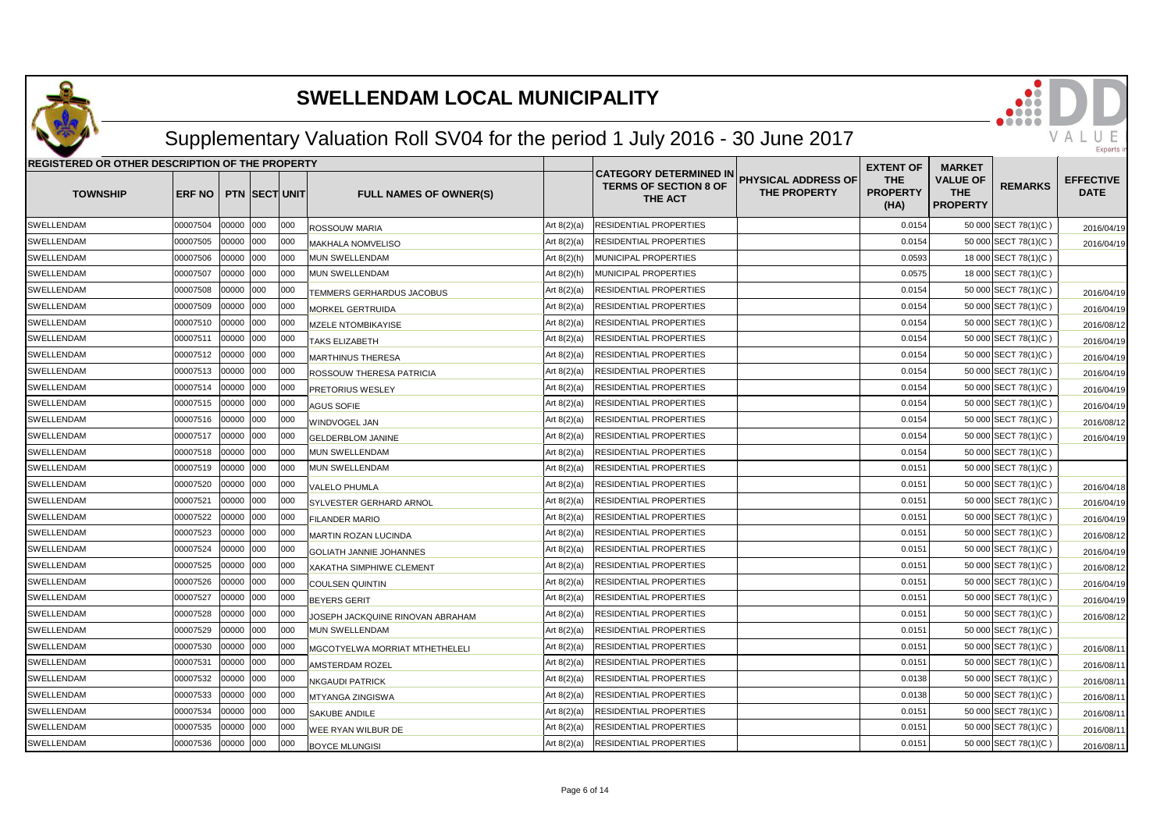

## Supplementary Valuation Roll SV04 for the period 1 July 2016 - 30 June 2017

| REGISTERED OR OTHER DESCRIPTION OF THE PROPERTY |               |       |                      |     |                                       |               |                                                                          |                                                   | <b>EXTENT OF</b>                      | <b>MARKET</b>                                    |                      |                                 |
|-------------------------------------------------|---------------|-------|----------------------|-----|---------------------------------------|---------------|--------------------------------------------------------------------------|---------------------------------------------------|---------------------------------------|--------------------------------------------------|----------------------|---------------------------------|
| <b>TOWNSHIP</b>                                 | <b>ERF NO</b> |       | <b>PTN SECT UNIT</b> |     | <b>FULL NAMES OF OWNER(S)</b>         |               | <b>CATEGORY DETERMINED IN</b><br><b>TERMS OF SECTION 8 OF</b><br>THE ACT | <b>PHYSICAL ADDRESS OF</b><br><b>THE PROPERTY</b> | <b>THE</b><br><b>PROPERTY</b><br>(HA) | <b>VALUE OF</b><br><b>THE</b><br><b>PROPERTY</b> | <b>REMARKS</b>       | <b>EFFECTIVE</b><br><b>DATE</b> |
| <b>SWELLENDAM</b>                               | 00007504      | 00000 | 000                  | 000 | ROSSOUW MARIA                         | Art $8(2)(a)$ | RESIDENTIAL PROPERTIES                                                   |                                                   | 0.0154                                |                                                  | 50 000 SECT 78(1)(C) | 2016/04/19                      |
| <b>SWELLENDAM</b>                               | 00007505      | 00000 | 000                  | 000 | MAKHALA NOMVELISO                     | Art $8(2)(a)$ | RESIDENTIAL PROPERTIES                                                   |                                                   | 0.0154                                |                                                  | 50 000 SECT 78(1)(C) | 2016/04/19                      |
| <b>SWELLENDAM</b>                               | 00007506      | 00000 | 000                  | 000 | <b>MUN SWELLENDAM</b>                 | Art $8(2)(h)$ | MUNICIPAL PROPERTIES                                                     |                                                   | 0.0593                                |                                                  | 18 000 SECT 78(1)(C) |                                 |
| SWELLENDAM                                      | 00007507      | 00000 | 000                  | 000 | MUN SWELLENDAM                        | Art $8(2)(h)$ | MUNICIPAL PROPERTIES                                                     |                                                   | 0.0575                                |                                                  | 18 000 SECT 78(1)(C) |                                 |
| SWELLENDAM                                      | 00007508      | 00000 | 000                  | 000 | TEMMERS GERHARDUS JACOBUS             | Art $8(2)(a)$ | RESIDENTIAL PROPERTIES                                                   |                                                   | 0.0154                                |                                                  | 50 000 SECT 78(1)(C) | 2016/04/19                      |
| <b>SWELLENDAM</b>                               | 00007509      | 00000 | 000                  | 000 | <b>MORKEL GERTRUIDA</b>               | Art $8(2)(a)$ | RESIDENTIAL PROPERTIES                                                   |                                                   | 0.0154                                |                                                  | 50 000 SECT 78(1)(C) | 2016/04/19                      |
| SWELLENDAM                                      | 00007510      | 00000 | 000                  | 000 | <b>MZELE NTOMBIKAYISE</b>             | Art $8(2)(a)$ | RESIDENTIAL PROPERTIES                                                   |                                                   | 0.0154                                |                                                  | 50 000 SECT 78(1)(C) | 2016/08/12                      |
| SWELLENDAM                                      | 00007511      | 00000 | 000                  | 000 | <b>TAKS ELIZABETH</b>                 | Art $8(2)(a)$ | RESIDENTIAL PROPERTIES                                                   |                                                   | 0.0154                                |                                                  | 50 000 SECT 78(1)(C) | 2016/04/19                      |
| SWELLENDAM                                      | 00007512      | 00000 | 000                  | 000 | <b>MARTHINUS THERESA</b>              | Art $8(2)(a)$ | RESIDENTIAL PROPERTIES                                                   |                                                   | 0.0154                                |                                                  | 50 000 SECT 78(1)(C) | 2016/04/19                      |
| SWELLENDAM                                      | 00007513      | 00000 | 000                  | 000 | <b>ROSSOUW THERESA PATRICIA</b>       | Art $8(2)(a)$ | RESIDENTIAL PROPERTIES                                                   |                                                   | 0.0154                                |                                                  | 50 000 SECT 78(1)(C) | 2016/04/19                      |
| <b>SWELLENDAM</b>                               | 00007514      | 00000 | 000                  | 000 | <b>PRETORIUS WESLEY</b>               | Art $8(2)(a)$ | RESIDENTIAL PROPERTIES                                                   |                                                   | 0.0154                                |                                                  | 50 000 SECT 78(1)(C) | 2016/04/19                      |
| SWELLENDAM                                      | 00007515      | 00000 | 000                  | 000 | <b>AGUS SOFIE</b>                     | Art $8(2)(a)$ | RESIDENTIAL PROPERTIES                                                   |                                                   | 0.0154                                |                                                  | 50 000 SECT 78(1)(C) | 2016/04/19                      |
| SWELLENDAM                                      | 00007516      | 00000 | 000                  | 000 | WINDVOGEL JAN                         | Art $8(2)(a)$ | RESIDENTIAL PROPERTIES                                                   |                                                   | 0.0154                                |                                                  | 50 000 SECT 78(1)(C) | 2016/08/12                      |
| SWELLENDAM                                      | 00007517      | 00000 | 000                  | 000 | <b>GELDERBLOM JANINE</b>              | Art $8(2)(a)$ | RESIDENTIAL PROPERTIES                                                   |                                                   | 0.0154                                |                                                  | 50 000 SECT 78(1)(C) | 2016/04/19                      |
| SWELLENDAM                                      | 00007518      | 00000 | 000                  | 000 | MUN SWELLENDAM                        | Art $8(2)(a)$ | RESIDENTIAL PROPERTIES                                                   |                                                   | 0.0154                                |                                                  | 50 000 SECT 78(1)(C) |                                 |
| SWELLENDAM                                      | 00007519      | 00000 | 000                  | 000 | MUN SWELLENDAM                        | Art $8(2)(a)$ | RESIDENTIAL PROPERTIES                                                   |                                                   | 0.0151                                |                                                  | 50 000 SECT 78(1)(C) |                                 |
| SWELLENDAM                                      | 00007520      | 00000 | 000                  | 000 | <b>VALELO PHUMLA</b>                  | Art $8(2)(a)$ | RESIDENTIAL PROPERTIES                                                   |                                                   | 0.0151                                |                                                  | 50 000 SECT 78(1)(C) | 2016/04/18                      |
| SWELLENDAM                                      | 00007521      | 00000 | 000                  | 000 | SYLVESTER GERHARD ARNOL               | Art $8(2)(a)$ | RESIDENTIAL PROPERTIES                                                   |                                                   | 0.0151                                |                                                  | 50 000 SECT 78(1)(C) | 2016/04/19                      |
| SWELLENDAM                                      | 00007522      | 00000 | 000                  | 000 | <b>FILANDER MARIO</b>                 | Art $8(2)(a)$ | RESIDENTIAL PROPERTIES                                                   |                                                   | 0.015'                                |                                                  | 50 000 SECT 78(1)(C) | 2016/04/19                      |
| SWELLENDAM                                      | 00007523      | 00000 | 000                  | 000 | MARTIN ROZAN LUCINDA                  | Art $8(2)(a)$ | RESIDENTIAL PROPERTIES                                                   |                                                   | 0.015'                                |                                                  | 50 000 SECT 78(1)(C) | 2016/08/12                      |
| SWELLENDAM                                      | 00007524      | 00000 | 000                  | 000 | <b>GOLIATH JANNIE JOHANNES</b>        | Art $8(2)(a)$ | RESIDENTIAL PROPERTIES                                                   |                                                   | 0.015'                                |                                                  | 50 000 SECT 78(1)(C) | 2016/04/19                      |
| SWELLENDAM                                      | 00007525      | 00000 | 000                  | 000 | XAKATHA SIMPHIWE CLEMENT              | Art $8(2)(a)$ | RESIDENTIAL PROPERTIES                                                   |                                                   | 0.015'                                |                                                  | 50 000 SECT 78(1)(C) | 2016/08/12                      |
| SWELLENDAM                                      | 00007526      | 00000 | 000                  | 000 | <b>COULSEN QUINTIN</b>                | Art $8(2)(a)$ | RESIDENTIAL PROPERTIES                                                   |                                                   | 0.0151                                |                                                  | 50 000 SECT 78(1)(C) | 2016/04/19                      |
| <b>SWELLENDAM</b>                               | 00007527      | 00000 | 000                  | 000 | <b>BEYERS GERIT</b>                   | Art $8(2)(a)$ | RESIDENTIAL PROPERTIES                                                   |                                                   | 0.015'                                |                                                  | 50 000 SECT 78(1)(C) | 2016/04/19                      |
| SWELLENDAM                                      | 00007528      | 00000 | 000                  | 000 | JOSEPH JACKQUINE RINOVAN ABRAHAM      | Art $8(2)(a)$ | RESIDENTIAL PROPERTIES                                                   |                                                   | 0.015'                                |                                                  | 50 000 SECT 78(1)(C) | 2016/08/12                      |
| <b>SWELLENDAM</b>                               | 00007529      | 00000 | 000                  | 000 | <b>MUN SWELLENDAM</b>                 | Art $8(2)(a)$ | RESIDENTIAL PROPERTIES                                                   |                                                   | 0.015'                                |                                                  | 50 000 SECT 78(1)(C) |                                 |
| SWELLENDAM                                      | 00007530      | 00000 | 000                  | 000 | <b>MGCOTYELWA MORRIAT MTHETHELELI</b> | Art $8(2)(a)$ | RESIDENTIAL PROPERTIES                                                   |                                                   | 0.015'                                |                                                  | 50 000 SECT 78(1)(C) | 2016/08/11                      |
| SWELLENDAM                                      | 00007531      | 00000 | 000                  | 000 | AMSTERDAM ROZEL                       | Art $8(2)(a)$ | RESIDENTIAL PROPERTIES                                                   |                                                   | 0.0151                                |                                                  | 50 000 SECT 78(1)(C) | 2016/08/11                      |
| <b>SWELLENDAM</b>                               | 00007532      | 00000 | 000                  | 000 | NKGAUDI PATRICK                       | Art $8(2)(a)$ | RESIDENTIAL PROPERTIES                                                   |                                                   | 0.0138                                |                                                  | 50 000 SECT 78(1)(C) | 2016/08/1                       |
| SWELLENDAM                                      | 00007533      | 00000 | 000                  | 000 | MTYANGA ZINGISWA                      | Art $8(2)(a)$ | RESIDENTIAL PROPERTIES                                                   |                                                   | 0.0138                                |                                                  | 50 000 SECT 78(1)(C) | 2016/08/1                       |
| SWELLENDAM                                      | 00007534      | 00000 | 000                  | 000 | SAKUBE ANDILE                         | Art $8(2)(a)$ | RESIDENTIAL PROPERTIES                                                   |                                                   | 0.0151                                |                                                  | 50 000 SECT 78(1)(C) | 2016/08/1                       |
| SWELLENDAM                                      | 00007535      | 00000 | 000                  | 000 | WEE RYAN WILBUR DE                    | Art 8(2)(a)   | RESIDENTIAL PROPERTIES                                                   |                                                   | 0.015'                                |                                                  | 50 000 SECT 78(1)(C) | 2016/08/11                      |
| SWELLENDAM                                      | 00007536      | 00000 | 000                  | 000 | <b>BOYCE MLUNGISI</b>                 | Art $8(2)(a)$ | RESIDENTIAL PROPERTIES                                                   |                                                   | 0.0151                                |                                                  | 50 000 SECT 78(1)(C) | 2016/08/11                      |

VALU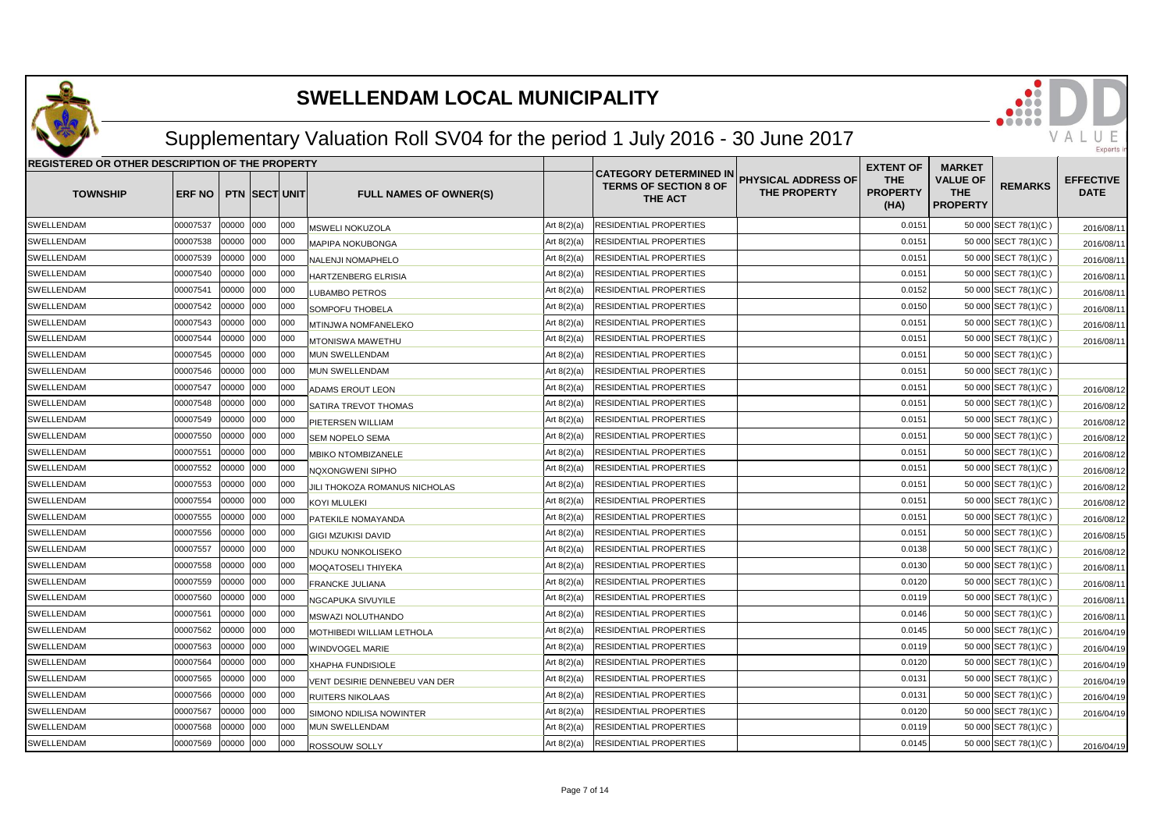

## Supplementary Valuation Roll SV04 for the period 1 July 2016 - 30 June 2017

| <b>REGISTERED OR OTHER DESCRIPTION OF THE PROPERTY</b> |          |           |                      |      |                               |               | <b>EXTENT OF</b>                                                         | <b>MARKET</b>                              |                                       |                                                  |                      |                                 |
|--------------------------------------------------------|----------|-----------|----------------------|------|-------------------------------|---------------|--------------------------------------------------------------------------|--------------------------------------------|---------------------------------------|--------------------------------------------------|----------------------|---------------------------------|
| <b>TOWNSHIP</b>                                        | ERF NO   |           | <b>PTN SECT UNIT</b> |      | <b>FULL NAMES OF OWNER(S)</b> |               | <b>CATEGORY DETERMINED IN</b><br><b>TERMS OF SECTION 8 OF</b><br>THE ACT | <b>PHYSICAL ADDRESS OF</b><br>THE PROPERTY | <b>THE</b><br><b>PROPERTY</b><br>(HA) | <b>VALUE OF</b><br><b>THE</b><br><b>PROPERTY</b> | <b>REMARKS</b>       | <b>EFFECTIVE</b><br><b>DATE</b> |
| SWELLENDAM                                             | 00007537 | 00000     | 000                  | 000  | MSWELI NOKUZOLA               | Art $8(2)(a)$ | RESIDENTIAL PROPERTIES                                                   |                                            | 0.015'                                |                                                  | 50 000 SECT 78(1)(C) | 2016/08/11                      |
| SWELLENDAM                                             | 00007538 | 00000     | 000                  | 000  | MAPIPA NOKUBONGA              | Art $8(2)(a)$ | RESIDENTIAL PROPERTIES                                                   |                                            | 0.015'                                |                                                  | 50 000 SECT 78(1)(C) | 2016/08/11                      |
| <b>SWELLENDAM</b>                                      | 00007539 | 00000 000 |                      | 000  | NALENJI NOMAPHELO             | Art $8(2)(a)$ | RESIDENTIAL PROPERTIES                                                   |                                            | 0.015'                                |                                                  | 50 000 SECT 78(1)(C) | 2016/08/11                      |
| SWELLENDAM                                             | 00007540 | 00000     | 000                  | 000  | HARTZENBERG ELRISIA           | Art $8(2)(a)$ | RESIDENTIAL PROPERTIES                                                   |                                            | 0.015'                                |                                                  | 50 000 SECT 78(1)(C) | 2016/08/1                       |
| SWELLENDAM                                             | 00007541 | 00000     | 000                  | 000  | LUBAMBO PETROS                | Art $8(2)(a)$ | RESIDENTIAL PROPERTIES                                                   |                                            | 0.0152                                |                                                  | 50 000 SECT 78(1)(C) | 2016/08/1                       |
| SWELLENDAM                                             | 00007542 | 00000     | 000                  | 000  | SOMPOFU THOBELA               | Art $8(2)(a)$ | RESIDENTIAL PROPERTIES                                                   |                                            | 0.0150                                |                                                  | 50 000 SECT 78(1)(C) | 2016/08/1                       |
| SWELLENDAM                                             | 00007543 | 00000     | 000                  | 000  | <b>MTINJWA NOMFANELEKO</b>    | Art $8(2)(a)$ | RESIDENTIAL PROPERTIES                                                   |                                            | 0.015'                                |                                                  | 50 000 SECT 78(1)(C) | 2016/08/1                       |
| SWELLENDAM                                             | 00007544 | 00000     | 000                  | 000  | MTONISWA MAWETHU              | Art $8(2)(a)$ | RESIDENTIAL PROPERTIES                                                   |                                            | 0.015'                                |                                                  | 50 000 SECT 78(1)(C) | 2016/08/11                      |
| SWELLENDAM                                             | 00007545 | 00000     | 000                  | 1000 | <b>MUN SWELLENDAM</b>         | Art $8(2)(a)$ | RESIDENTIAL PROPERTIES                                                   |                                            | 0.015'                                |                                                  | 50 000 SECT 78(1)(C) |                                 |
| SWELLENDAM                                             | 00007546 | 00000     | 000                  | 000  | MUN SWELLENDAM                | Art 8(2)(a)   | RESIDENTIAL PROPERTIES                                                   |                                            | 0.015'                                |                                                  | 50 000 SECT 78(1)(C) |                                 |
| SWELLENDAM                                             | 00007547 | 00000     | 000                  | 000  | ADAMS EROUT LEON              | Art $8(2)(a)$ | RESIDENTIAL PROPERTIES                                                   |                                            | 0.015'                                |                                                  | 50 000 SECT 78(1)(C) | 2016/08/12                      |
| SWELLENDAM                                             | 00007548 | 00000     | 000                  | 000  | SATIRA TREVOT THOMAS          | Art $8(2)(a)$ | RESIDENTIAL PROPERTIES                                                   |                                            | 0.015'                                |                                                  | 50 000 SECT 78(1)(C) | 2016/08/12                      |
| SWELLENDAM                                             | 00007549 | 00000     | 000                  | 000  | PIETERSEN WILLIAM             | Art $8(2)(a)$ | RESIDENTIAL PROPERTIES                                                   |                                            | 0.0151                                |                                                  | 50 000 SECT 78(1)(C) | 2016/08/12                      |
| <b>SWELLENDAM</b>                                      | 00007550 | 00000     | 000                  | 000  | <b>SEM NOPELO SEMA</b>        | Art $8(2)(a)$ | RESIDENTIAL PROPERTIES                                                   |                                            | 0.0151                                |                                                  | 50 000 SECT 78(1)(C) | 2016/08/12                      |
| SWELLENDAM                                             | 00007551 | 00000     | 000                  | 000  | MBIKO NTOMBIZANELE            | Art $8(2)(a)$ | RESIDENTIAL PROPERTIES                                                   |                                            | 0.015'                                |                                                  | 50 000 SECT 78(1)(C) | 2016/08/12                      |
| <b>SWELLENDAM</b>                                      | 00007552 | 00000     | 000                  | 000  | NQXONGWENI SIPHO              | Art $8(2)(a)$ | RESIDENTIAL PROPERTIES                                                   |                                            | 0.015'                                |                                                  | 50 000 SECT 78(1)(C) | 2016/08/12                      |
| SWELLENDAM                                             | 00007553 | 00000     | 000                  | 000  | JILI THOKOZA ROMANUS NICHOLAS | Art 8(2)(a)   | RESIDENTIAL PROPERTIES                                                   |                                            | 0.015'                                |                                                  | 50 000 SECT 78(1)(C) | 2016/08/12                      |
| SWELLENDAM                                             | 00007554 | 00000     | 000                  | 000  | KOYI MLULEKI                  | Art $8(2)(a)$ | RESIDENTIAL PROPERTIES                                                   |                                            | 0.015'                                |                                                  | 50 000 SECT 78(1)(C) | 2016/08/12                      |
| <b>SWELLENDAM</b>                                      | 00007555 | 00000     | 000                  | 000  | PATEKILE NOMAYANDA            | Art $8(2)(a)$ | RESIDENTIAL PROPERTIES                                                   |                                            | 0.015'                                |                                                  | 50 000 SECT 78(1)(C) | 2016/08/12                      |
| SWELLENDAM                                             | 00007556 | 00000     | 000                  | 000  | GIGI MZUKISI DAVID            | Art $8(2)(a)$ | RESIDENTIAL PROPERTIES                                                   |                                            | 0.015'                                |                                                  | 50 000 SECT 78(1)(C) | 2016/08/15                      |
| <b>SWELLENDAM</b>                                      | 00007557 | 00000     | 000                  | looo | NDUKU NONKOLISEKO             | Art 8(2)(a)   | RESIDENTIAL PROPERTIES                                                   |                                            | 0.0138                                |                                                  | 50 000 SECT 78(1)(C) | 2016/08/12                      |
| SWELLENDAM                                             | 00007558 | 00000     | 000                  | 000  | MOQATOSELI THIYEKA            | Art 8(2)(a)   | RESIDENTIAL PROPERTIES                                                   |                                            | 0.0130                                |                                                  | 50 000 SECT 78(1)(C) | 2016/08/11                      |
| SWELLENDAM                                             | 00007559 | 00000     | 000                  | 000  | FRANCKE JULIANA               | Art 8(2)(a)   | RESIDENTIAL PROPERTIES                                                   |                                            | 0.0120                                |                                                  | 50 000 SECT 78(1)(C) | 2016/08/11                      |
| SWELLENDAM                                             | 00007560 | 00000     | 000                  | 000  | <b>NGCAPUKA SIVUYILE</b>      | Art $8(2)(a)$ | RESIDENTIAL PROPERTIES                                                   |                                            | 0.0119                                |                                                  | 50 000 SECT 78(1)(C) | 2016/08/11                      |
| SWELLENDAM                                             | 00007561 | 00000     | 000                  | 000  | MSWAZI NOLUTHANDO             | Art $8(2)(a)$ | RESIDENTIAL PROPERTIES                                                   |                                            | 0.0146                                |                                                  | 50 000 SECT 78(1)(C) | 2016/08/11                      |
| SWELLENDAM                                             | 00007562 | 00000     | 000                  | 000  | MOTHIBEDI WILLIAM LETHOLA     | Art $8(2)(a)$ | RESIDENTIAL PROPERTIES                                                   |                                            | 0.0145                                |                                                  | 50 000 SECT 78(1)(C) | 2016/04/19                      |
| SWELLENDAM                                             | 00007563 | 00000     | 000                  | 000  | WINDVOGEL MARIE               | Art $8(2)(a)$ | RESIDENTIAL PROPERTIES                                                   |                                            | 0.0119                                |                                                  | 50 000 SECT 78(1)(C) | 2016/04/19                      |
| SWELLENDAM                                             | 00007564 | 00000     | 000                  | 000  | <b>XHAPHA FUNDISIOLE</b>      | Art $8(2)(a)$ | RESIDENTIAL PROPERTIES                                                   |                                            | 0.0120                                |                                                  | 50 000 SECT 78(1)(C) | 2016/04/19                      |
| SWELLENDAM                                             | 00007565 | 00000     | 000                  | 000  | VENT DESIRIE DENNEBEU VAN DER | Art $8(2)(a)$ | RESIDENTIAL PROPERTIES                                                   |                                            | 0.013'                                |                                                  | 50 000 SECT 78(1)(C) | 2016/04/19                      |
| SWELLENDAM                                             | 00007566 | 00000     | 000                  | 000  | RUITERS NIKOLAAS              | Art $8(2)(a)$ | RESIDENTIAL PROPERTIES                                                   |                                            | 0.013'                                |                                                  | 50 000 SECT 78(1)(C) | 2016/04/19                      |
| SWELLENDAM                                             | 00007567 | 00000     | 000                  | 000  | SIMONO NDILISA NOWINTER       | Art $8(2)(a)$ | RESIDENTIAL PROPERTIES                                                   |                                            | 0.0120                                |                                                  | 50 000 SECT 78(1)(C) | 2016/04/19                      |
| SWELLENDAM                                             | 00007568 | 00000     | 000                  | 000  | MUN SWELLENDAM                | Art $8(2)(a)$ | RESIDENTIAL PROPERTIES                                                   |                                            | 0.0119                                |                                                  | 50 000 SECT 78(1)(C) |                                 |
| SWELLENDAM                                             | 00007569 | 00000     | 000                  | 000  | ROSSOUW SOLLY                 | Art $8(2)(a)$ | RESIDENTIAL PROPERTIES                                                   |                                            | 0.0145                                |                                                  | 50 000 SECT 78(1)(C) | 2016/04/19                      |

VAL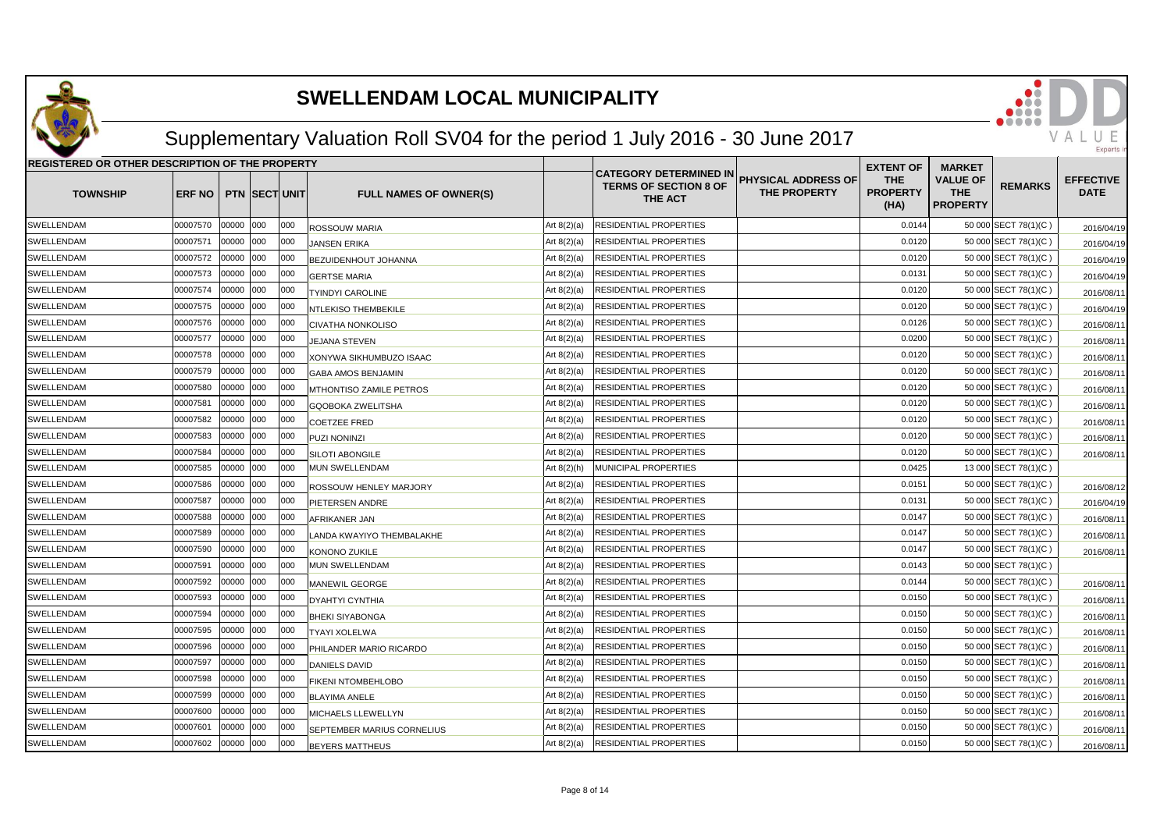

## Supplementary Valuation Roll SV04 for the period 1 July 2016 - 30 June 2017

| <b>REGISTERED OR OTHER DESCRIPTION OF THE PROPERTY</b> |                |       |                      |      |                               |               |                                                                          |                                            | <b>EXTENT OF</b>                      | <b>MARKET</b>                                    |                      |                                 |
|--------------------------------------------------------|----------------|-------|----------------------|------|-------------------------------|---------------|--------------------------------------------------------------------------|--------------------------------------------|---------------------------------------|--------------------------------------------------|----------------------|---------------------------------|
| <b>TOWNSHIP</b>                                        | ERF NO         |       | <b>PTN SECT UNIT</b> |      | <b>FULL NAMES OF OWNER(S)</b> |               | <b>CATEGORY DETERMINED IN</b><br><b>TERMS OF SECTION 8 OF</b><br>THE ACT | <b>PHYSICAL ADDRESS OF</b><br>THE PROPERTY | <b>THE</b><br><b>PROPERTY</b><br>(HA) | <b>VALUE OF</b><br><b>THE</b><br><b>PROPERTY</b> | <b>REMARKS</b>       | <b>EFFECTIVE</b><br><b>DATE</b> |
| SWELLENDAM                                             | 00007570       | 00000 | 000                  | 000  | <b>ROSSOUW MARIA</b>          | Art $8(2)(a)$ | RESIDENTIAL PROPERTIES                                                   |                                            | 0.0144                                |                                                  | 50 000 SECT 78(1)(C) | 2016/04/19                      |
| SWELLENDAM                                             | 00007571       | 00000 | 000                  | 000  | <b>JANSEN ERIKA</b>           | Art $8(2)(a)$ | RESIDENTIAL PROPERTIES                                                   |                                            | 0.0120                                |                                                  | 50 000 SECT 78(1)(C) | 2016/04/19                      |
| <b>SWELLENDAM</b>                                      | 00007572       | 00000 | 000                  | 000  | BEZUIDENHOUT JOHANNA          | Art $8(2)(a)$ | RESIDENTIAL PROPERTIES                                                   |                                            | 0.0120                                |                                                  | 50 000 SECT 78(1)(C) | 2016/04/19                      |
| SWELLENDAM                                             | 00007573       | 00000 | 000                  | 000  | <b>GERTSE MARIA</b>           | Art $8(2)(a)$ | RESIDENTIAL PROPERTIES                                                   |                                            | 0.013'                                |                                                  | 50 000 SECT 78(1)(C) | 2016/04/19                      |
| SWELLENDAM                                             | 00007574       | 00000 | 000                  | 000  | <b>TYINDYI CAROLINE</b>       | Art $8(2)(a)$ | RESIDENTIAL PROPERTIES                                                   |                                            | 0.0120                                |                                                  | 50 000 SECT 78(1)(C) | 2016/08/1                       |
| SWELLENDAM                                             | 00007575       | 00000 | 000                  | 000  | <b>NTLEKISO THEMBEKILE</b>    | Art $8(2)(a)$ | RESIDENTIAL PROPERTIES                                                   |                                            | 0.0120                                |                                                  | 50 000 SECT 78(1)(C) | 2016/04/19                      |
| SWELLENDAM                                             | 00007576       | 00000 | 000                  | 000  | <b>CIVATHA NONKOLISO</b>      | Art $8(2)(a)$ | RESIDENTIAL PROPERTIES                                                   |                                            | 0.0126                                |                                                  | 50 000 SECT 78(1)(C) | 2016/08/1                       |
| SWELLENDAM                                             | 00007577       | 00000 | 000                  | 000  | <b>JEJANA STEVEN</b>          | Art $8(2)(a)$ | RESIDENTIAL PROPERTIES                                                   |                                            | 0.0200                                |                                                  | 50 000 SECT 78(1)(C) | 2016/08/1                       |
| SWELLENDAM                                             | 00007578       | 00000 | 000                  | 000  | XONYWA SIKHUMBUZO ISAAC       | Art $8(2)(a)$ | RESIDENTIAL PROPERTIES                                                   |                                            | 0.0120                                |                                                  | 50 000 SECT 78(1)(C) | 2016/08/1                       |
| SWELLENDAM                                             | 00007579       | 00000 | 000                  | 000  | GABA AMOS BENJAMIN            | Art $8(2)(a)$ | RESIDENTIAL PROPERTIES                                                   |                                            | 0.0120                                |                                                  | 50 000 SECT 78(1)(C) | 2016/08/1                       |
| SWELLENDAM                                             | 00007580       | 00000 | 000                  | 000  | MTHONTISO ZAMILE PETROS       | Art $8(2)(a)$ | RESIDENTIAL PROPERTIES                                                   |                                            | 0.0120                                |                                                  | 50 000 SECT 78(1)(C) | 2016/08/1                       |
| SWELLENDAM                                             | 00007581       | 00000 | 000                  | 000  | GQOBOKA ZWELITSHA             | Art $8(2)(a)$ | RESIDENTIAL PROPERTIES                                                   |                                            | 0.0120                                |                                                  | 50 000 SECT 78(1)(C) | 2016/08/1                       |
| SWELLENDAM                                             | 00007582       | 00000 | 000                  | 000  | <b>COETZEE FRED</b>           | Art $8(2)(a)$ | RESIDENTIAL PROPERTIES                                                   |                                            | 0.0120                                |                                                  | 50 000 SECT 78(1)(C) | 2016/08/1                       |
| SWELLENDAM                                             | 00007583       | 00000 | 000                  | 000  | PUZI NONINZI                  | Art $8(2)(a)$ | RESIDENTIAL PROPERTIES                                                   |                                            | 0.0120                                |                                                  | 50 000 SECT 78(1)(C) | 2016/08/1                       |
| <b>SWELLENDAM</b>                                      | 00007584       | 00000 | 000                  | 000  | SILOTI ABONGILE               | Art $8(2)(a)$ | RESIDENTIAL PROPERTIES                                                   |                                            | 0.0120                                |                                                  | 50 000 SECT 78(1)(C) | 2016/08/1                       |
| SWELLENDAM                                             | 00007585       | 00000 | 000                  | 000  | <b>MUN SWELLENDAM</b>         | Art $8(2)(h)$ | MUNICIPAL PROPERTIES                                                     |                                            | 0.0425                                |                                                  | 13 000 SECT 78(1)(C) |                                 |
| SWELLENDAM                                             | 00007586       | 00000 | 000                  | 000  | ROSSOUW HENLEY MARJORY        | Art $8(2)(a)$ | RESIDENTIAL PROPERTIES                                                   |                                            | 0.015'                                |                                                  | 50 000 SECT 78(1)(C) | 2016/08/12                      |
| <b>SWELLENDAM</b>                                      | 00007587       | 00000 | 000                  | 000  | PIETERSEN ANDRE               | Art $8(2)(a)$ | RESIDENTIAL PROPERTIES                                                   |                                            | 0.0131                                |                                                  | 50 000 SECT 78(1)(C) | 2016/04/19                      |
| SWELLENDAM                                             | 00007588       | 00000 | 000                  | 000  | AFRIKANER JAN                 | Art $8(2)(a)$ | RESIDENTIAL PROPERTIES                                                   |                                            | 0.0147                                |                                                  | 50 000 SECT 78(1)(C) | 2016/08/11                      |
| <b>SWELLENDAM</b>                                      | 00007589       | 00000 | 000                  | 1000 | LANDA KWAYIYO THEMBALAKHE     | Art $8(2)(a)$ | RESIDENTIAL PROPERTIES                                                   |                                            | 0.0147                                |                                                  | 50 000 SECT 78(1)(C) | 2016/08/11                      |
| SWELLENDAM                                             | 00007590       | 00000 | 000                  | 000  | KONONO ZUKILE                 | Art $8(2)(a)$ | RESIDENTIAL PROPERTIES                                                   |                                            | 0.0147                                |                                                  | 50 000 SECT 78(1)(C) | 2016/08/11                      |
| SWELLENDAM                                             | 00007591       | 00000 | 000                  | 000  | <b>MUN SWELLENDAM</b>         | Art $8(2)(a)$ | RESIDENTIAL PROPERTIES                                                   |                                            | 0.0143                                |                                                  | 50 000 SECT 78(1)(C) |                                 |
| SWELLENDAM                                             | 00007592       | 00000 | 000                  | 000  | <b>MANEWIL GEORGE</b>         | Art $8(2)(a)$ | RESIDENTIAL PROPERTIES                                                   |                                            | 0.0144                                |                                                  | 50 000 SECT 78(1)(C) | 2016/08/11                      |
| SWELLENDAM                                             | 00007593       | 00000 | 000                  | 000  | <b>DYAHTYI CYNTHIA</b>        | Art $8(2)(a)$ | RESIDENTIAL PROPERTIES                                                   |                                            | 0.0150                                |                                                  | 50 000 SECT 78(1)(C) | 2016/08/11                      |
| SWELLENDAM                                             | 00007594       | 00000 | 000                  | 000  | <b>BHEKI SIYABONGA</b>        | Art $8(2)(a)$ | RESIDENTIAL PROPERTIES                                                   |                                            | 0.0150                                |                                                  | 50 000 SECT 78(1)(C) | 2016/08/1                       |
| <b>SWELLENDAM</b>                                      | 00007595       | 00000 | 000                  | 000  | <b>TYAYI XOLELWA</b>          | Art $8(2)(a)$ | RESIDENTIAL PROPERTIES                                                   |                                            | 0.0150                                |                                                  | 50 000 SECT 78(1)(C) | 2016/08/1                       |
| SWELLENDAM                                             | 00007596       | 00000 | 000                  | 000  | PHILANDER MARIO RICARDO       | Art $8(2)(a)$ | RESIDENTIAL PROPERTIES                                                   |                                            | 0.0150                                |                                                  | 50 000 SECT 78(1)(C) | 2016/08/1                       |
| SWELLENDAM                                             | 00007597       | 00000 | 000                  | 000  | <b>DANIELS DAVID</b>          | Art $8(2)(a)$ | RESIDENTIAL PROPERTIES                                                   |                                            | 0.0150                                |                                                  | 50 000 SECT 78(1)(C) | 2016/08/1                       |
| SWELLENDAM                                             | 00007598       | 00000 | 000                  | 000  | <b>FIKENI NTOMBEHLOBO</b>     | Art $8(2)(a)$ | RESIDENTIAL PROPERTIES                                                   |                                            | 0.0150                                |                                                  | 50 000 SECT 78(1)(C) | 2016/08/1                       |
| SWELLENDAM                                             | 00007599       | 00000 | 000                  | 000  | <b>BLAYIMA ANELE</b>          | Art $8(2)(a)$ | RESIDENTIAL PROPERTIES                                                   |                                            | 0.0150                                |                                                  | 50 000 SECT 78(1)(C) | 2016/08/1                       |
| SWELLENDAM                                             | 00007600       | 00000 | 000                  | 000  | <b>MICHAELS LLEWELLYN</b>     | Art $8(2)(a)$ | RESIDENTIAL PROPERTIES                                                   |                                            | 0.0150                                |                                                  | 50 000 SECT 78(1)(C) | 2016/08/1                       |
| SWELLENDAM                                             | 00007601       | 00000 | 000                  | 000  | SEPTEMBER MARIUS CORNELIUS    | Art $8(2)(a)$ | RESIDENTIAL PROPERTIES                                                   |                                            | 0.0150                                |                                                  | 50 000 SECT 78(1)(C) | 2016/08/11                      |
| SWELLENDAM                                             | 00007602 00000 |       | 000                  | 000  | <b>BEYERS MATTHEUS</b>        | Art $8(2)(a)$ | RESIDENTIAL PROPERTIES                                                   |                                            | 0.0150                                |                                                  | 50 000 SECT 78(1)(C) | 2016/08/11                      |

VAL

Exnert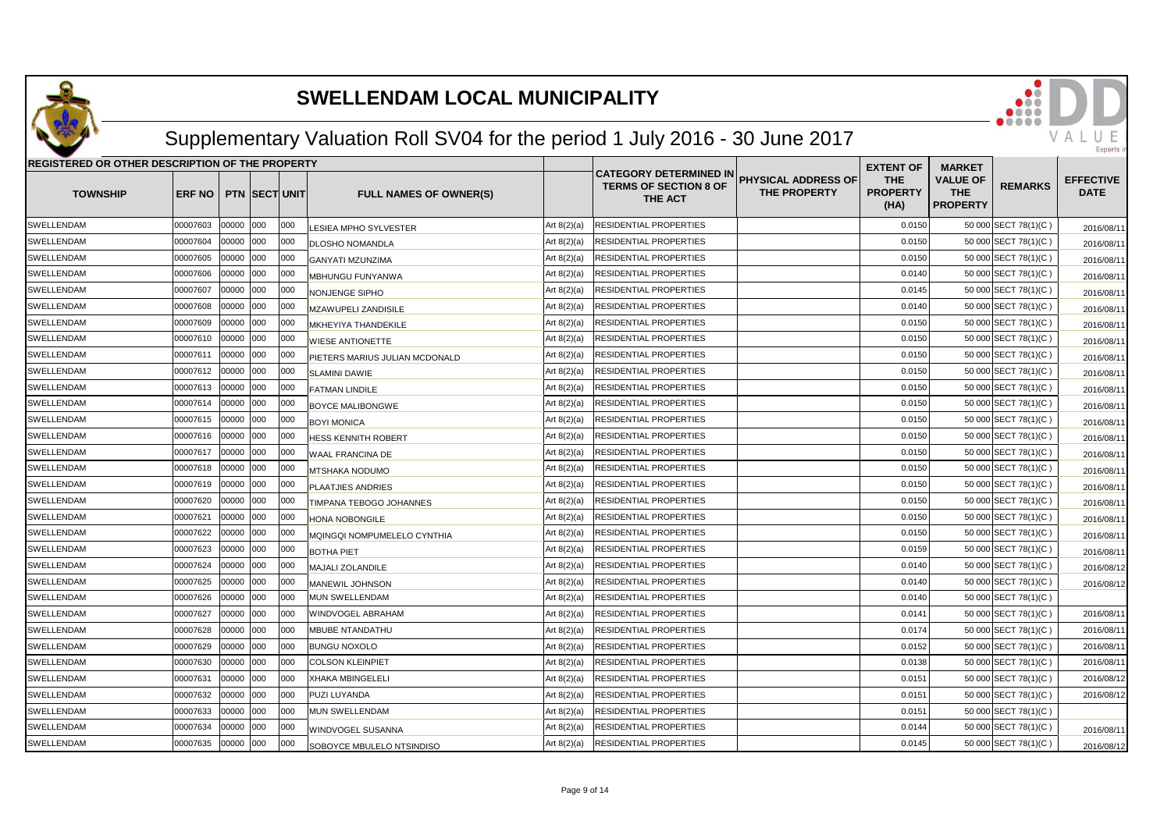

## Supplementary Valuation Roll SV04 for the period 1 July 2016 - 30 June 2017

| <b>REGISTERED OR OTHER DESCRIPTION OF THE PROPERTY</b> |               |       |                       |     |                                |               |                                                                          |                                                   | <b>EXTENT OF</b>                      | <b>MARKET</b>                                    |                      |                                 |
|--------------------------------------------------------|---------------|-------|-----------------------|-----|--------------------------------|---------------|--------------------------------------------------------------------------|---------------------------------------------------|---------------------------------------|--------------------------------------------------|----------------------|---------------------------------|
| <b>TOWNSHIP</b>                                        | <b>ERF NO</b> |       | <b>PTN ISECTIUNIT</b> |     | <b>FULL NAMES OF OWNER(S)</b>  |               | <b>CATEGORY DETERMINED IN</b><br><b>TERMS OF SECTION 8 OF</b><br>THE ACT | <b>PHYSICAL ADDRESS OF</b><br><b>THE PROPERTY</b> | <b>THE</b><br><b>PROPERTY</b><br>(HA) | <b>VALUE OF</b><br><b>THE</b><br><b>PROPERTY</b> | <b>REMARKS</b>       | <b>EFFECTIVE</b><br><b>DATE</b> |
| SWELLENDAM                                             | 00007603      | 00000 | 000                   | 000 | LESIEA MPHO SYLVESTER          | Art $8(2)(a)$ | <b>RESIDENTIAL PROPERTIES</b>                                            |                                                   | 0.0150                                |                                                  | 50 000 SECT 78(1)(C) | 2016/08/11                      |
| SWELLENDAM                                             | 00007604      | 00000 | 000                   | 000 | DLOSHO NOMANDLA                | Art $8(2)(a)$ | RESIDENTIAL PROPERTIES                                                   |                                                   | 0.0150                                |                                                  | 50 000 SECT 78(1)(C) | 2016/08/11                      |
| SWELLENDAM                                             | 00007605      |       | 00000 000             | 000 | <b>GANYATI MZUNZIMA</b>        | Art $8(2)(a)$ | RESIDENTIAL PROPERTIES                                                   |                                                   | 0.0150                                |                                                  | 50 000 SECT 78(1)(C) | 2016/08/11                      |
| SWELLENDAM                                             | 00007606      | 00000 | 000                   | 000 | MBHUNGU FUNYANWA               | Art $8(2)(a)$ | RESIDENTIAL PROPERTIES                                                   |                                                   | 0.0140                                |                                                  | 50 000 SECT 78(1)(C) | 2016/08/11                      |
| SWELLENDAM                                             | 00007607      | 00000 | 000                   | 000 | <b>NONJENGE SIPHO</b>          | Art $8(2)(a)$ | RESIDENTIAL PROPERTIES                                                   |                                                   | 0.0145                                |                                                  | 50 000 SECT 78(1)(C) | 2016/08/11                      |
| SWELLENDAM                                             | 00007608      | 00000 | 000                   | 000 | MZAWUPELI ZANDISILE            | Art $8(2)(a)$ | RESIDENTIAL PROPERTIES                                                   |                                                   | 0.0140                                |                                                  | 50 000 SECT 78(1)(C) | 2016/08/11                      |
| SWELLENDAM                                             | 00007609      | 00000 | 000                   | 000 | MKHEYIYA THANDEKILE            | Art $8(2)(a)$ | RESIDENTIAL PROPERTIES                                                   |                                                   | 0.0150                                |                                                  | 50 000 SECT 78(1)(C) | 2016/08/11                      |
| SWELLENDAM                                             | 00007610      | 00000 | 000                   | 000 | <b>WIESE ANTIONETTE</b>        | Art $8(2)(a)$ | RESIDENTIAL PROPERTIES                                                   |                                                   | 0.0150                                |                                                  | 50 000 SECT 78(1)(C) | 2016/08/11                      |
| SWELLENDAM                                             | 00007611      | 00000 | 000                   | 000 | PIETERS MARIUS JULIAN MCDONALD | Art $8(2)(a)$ | RESIDENTIAL PROPERTIES                                                   |                                                   | 0.0150                                |                                                  | 50 000 SECT 78(1)(C) | 2016/08/11                      |
| SWELLENDAM                                             | 00007612      | 00000 | 000                   | 000 | <b>SLAMINI DAWIE</b>           | Art $8(2)(a)$ | RESIDENTIAL PROPERTIES                                                   |                                                   | 0.0150                                |                                                  | 50 000 SECT 78(1)(C) | 2016/08/11                      |
| SWELLENDAM                                             | 00007613      | 00000 | 000                   | 000 | <b>FATMAN LINDILE</b>          | Art $8(2)(a)$ | RESIDENTIAL PROPERTIES                                                   |                                                   | 0.0150                                |                                                  | 50 000 SECT 78(1)(C) | 2016/08/11                      |
| SWELLENDAM                                             | 00007614      | 00000 | 000                   | 000 | <b>BOYCE MALIBONGWE</b>        | Art $8(2)(a)$ | RESIDENTIAL PROPERTIES                                                   |                                                   | 0.0150                                |                                                  | 50 000 SECT 78(1)(C) | 2016/08/11                      |
| SWELLENDAM                                             | 00007615      | 00000 | 000                   | 000 | <b>BOYI MONICA</b>             | Art $8(2)(a)$ | RESIDENTIAL PROPERTIES                                                   |                                                   | 0.0150                                |                                                  | 50 000 SECT 78(1)(C) | 2016/08/11                      |
| SWELLENDAM                                             | 00007616      | 00000 | 000                   | 000 | HESS KENNITH ROBERT            | Art $8(2)(a)$ | RESIDENTIAL PROPERTIES                                                   |                                                   | 0.0150                                |                                                  | 50 000 SECT 78(1)(C) | 2016/08/11                      |
| SWELLENDAM                                             | 00007617      | 00000 | 000                   | 000 | WAAL FRANCINA DE               | Art $8(2)(a)$ | RESIDENTIAL PROPERTIES                                                   |                                                   | 0.0150                                |                                                  | 50 000 SECT 78(1)(C) | 2016/08/11                      |
| SWELLENDAM                                             | 00007618      | 00000 | 000                   | 000 | MTSHAKA NODUMO                 | Art $8(2)(a)$ | RESIDENTIAL PROPERTIES                                                   |                                                   | 0.0150                                |                                                  | 50 000 SECT 78(1)(C) | 2016/08/11                      |
| SWELLENDAM                                             | 00007619      | 00000 | 000                   | 000 | <b>PLAATJIES ANDRIES</b>       | Art $8(2)(a)$ | RESIDENTIAL PROPERTIES                                                   |                                                   | 0.0150                                |                                                  | 50 000 SECT 78(1)(C) | 2016/08/11                      |
| SWELLENDAM                                             | 00007620      | 00000 | 000                   | 000 | TIMPANA TEBOGO JOHANNES        | Art $8(2)(a)$ | RESIDENTIAL PROPERTIES                                                   |                                                   | 0.0150                                |                                                  | 50 000 SECT 78(1)(C) | 2016/08/11                      |
| SWELLENDAM                                             | 00007621      | 00000 | 000                   | 000 | HONA NOBONGILE                 | Art $8(2)(a)$ | RESIDENTIAL PROPERTIES                                                   |                                                   | 0.0150                                |                                                  | 50 000 SECT 78(1)(C) | 2016/08/11                      |
| SWELLENDAM                                             | 00007622      | 00000 | 000                   | 000 | MQINGQI NOMPUMELELO CYNTHIA    | Art $8(2)(a)$ | RESIDENTIAL PROPERTIES                                                   |                                                   | 0.0150                                |                                                  | 50 000 SECT 78(1)(C) | 2016/08/11                      |
| SWELLENDAM                                             | 00007623      | 00000 | 000                   | 000 | <b>BOTHA PIET</b>              | Art $8(2)(a)$ | RESIDENTIAL PROPERTIES                                                   |                                                   | 0.0159                                |                                                  | 50 000 SECT 78(1)(C) | 2016/08/11                      |
| SWELLENDAM                                             | 00007624      | 00000 | 000                   | 000 | MAJALI ZOLANDILE               | Art $8(2)(a)$ | RESIDENTIAL PROPERTIES                                                   |                                                   | 0.0140                                |                                                  | 50 000 SECT 78(1)(C) | 2016/08/12                      |
| SWELLENDAM                                             | 00007625      | 00000 | 000                   | 000 | <b>MANEWIL JOHNSON</b>         | Art $8(2)(a)$ | RESIDENTIAL PROPERTIES                                                   |                                                   | 0.0140                                |                                                  | 50 000 SECT 78(1)(C) | 2016/08/12                      |
| SWELLENDAM                                             | 00007626      | 00000 | 000                   | 000 | MUN SWELLENDAM                 | Art $8(2)(a)$ | RESIDENTIAL PROPERTIES                                                   |                                                   | 0.0140                                |                                                  | 50 000 SECT 78(1)(C) |                                 |
| SWELLENDAM                                             | 00007627      | 00000 | 000                   | 000 | WINDVOGEL ABRAHAM              | Art $8(2)(a)$ | RESIDENTIAL PROPERTIES                                                   |                                                   | 0.0141                                |                                                  | 50 000 SECT 78(1)(C) | 2016/08/11                      |
| SWELLENDAM                                             | 00007628      | 00000 | 000                   | 000 | <b>MBUBE NTANDATHU</b>         | Art $8(2)(a)$ | RESIDENTIAL PROPERTIES                                                   |                                                   | 0.0174                                |                                                  | 50 000 SECT 78(1)(C) | 2016/08/11                      |
| SWELLENDAM                                             | 00007629      | 00000 | 000                   | 000 | <b>BUNGU NOXOLO</b>            | Art $8(2)(a)$ | RESIDENTIAL PROPERTIES                                                   |                                                   | 0.0152                                |                                                  | 50 000 SECT 78(1)(C) | 2016/08/11                      |
| SWELLENDAM                                             | 00007630      | 00000 | 000                   | 000 | <b>COLSON KLEINPIET</b>        | Art $8(2)(a)$ | RESIDENTIAL PROPERTIES                                                   |                                                   | 0.0138                                |                                                  | 50 000 SECT 78(1)(C) | 2016/08/11                      |
| SWELLENDAM                                             | 00007631      | 00000 | 000                   | 000 | <b>XHAKA MBINGELELI</b>        | Art $8(2)(a)$ | RESIDENTIAL PROPERTIES                                                   |                                                   | 0.0151                                |                                                  | 50 000 SECT 78(1)(C) | 2016/08/12                      |
| SWELLENDAM                                             | 00007632      | 00000 | 000                   | 000 | PUZI LUYANDA                   | Art $8(2)(a)$ | RESIDENTIAL PROPERTIES                                                   |                                                   | 0.0151                                |                                                  | 50 000 SECT 78(1)(C) | 2016/08/12                      |
| SWELLENDAM                                             | 00007633      | 00000 | 000                   | 000 | MUN SWELLENDAM                 | Art $8(2)(a)$ | RESIDENTIAL PROPERTIES                                                   |                                                   | 0.0151                                |                                                  | 50 000 SECT 78(1)(C) |                                 |
| SWELLENDAM                                             | 00007634      | 00000 | 000                   | 000 | WINDVOGEL SUSANNA              | Art $8(2)(a)$ | RESIDENTIAL PROPERTIES                                                   |                                                   | 0.0144                                |                                                  | 50 000 SECT 78(1)(C) | 2016/08/11                      |
| SWELLENDAM                                             | 00007635      | 00000 | 000                   | 000 | SOBOYCE MBULELO NTSINDISO      | Art $8(2)(a)$ | RESIDENTIAL PROPERTIES                                                   |                                                   | 0.0145                                |                                                  | 50 000 SECT 78(1)(C) | 2016/08/12                      |

VAL

Exnert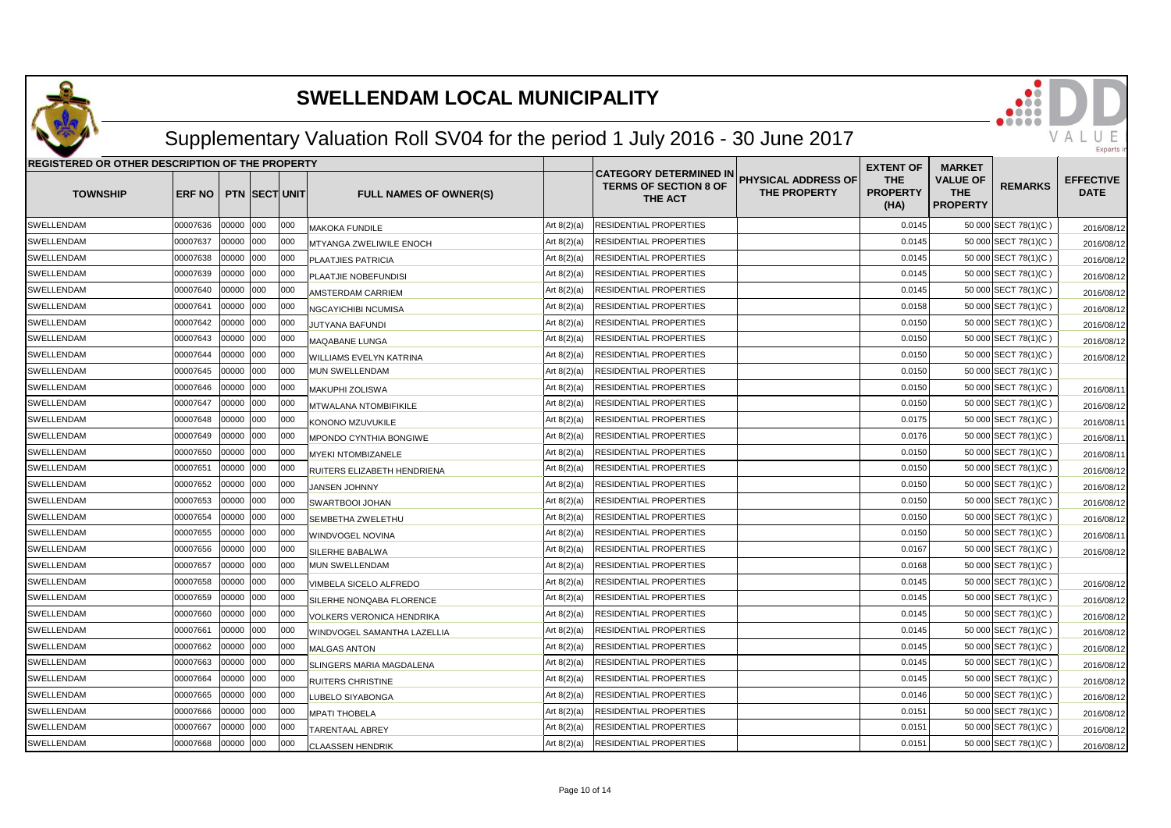

## Supplementary Valuation Roll SV04 for the period 1 July 2016 - 30 June 2017

| REGISTERED OR OTHER DESCRIPTION OF THE PROPERTY |          |       |                      |      |                                |               | <b>EXTENT OF</b>                                                         | <b>MARKET</b>                              |                                       |                                                  |                      |                                 |
|-------------------------------------------------|----------|-------|----------------------|------|--------------------------------|---------------|--------------------------------------------------------------------------|--------------------------------------------|---------------------------------------|--------------------------------------------------|----------------------|---------------------------------|
| <b>TOWNSHIP</b>                                 | ERF NO   |       | <b>PTN SECT UNIT</b> |      | <b>FULL NAMES OF OWNER(S)</b>  |               | <b>CATEGORY DETERMINED IN</b><br><b>TERMS OF SECTION 8 OF</b><br>THE ACT | PHYSICAL ADDRESS OF<br><b>THE PROPERTY</b> | <b>THE</b><br><b>PROPERTY</b><br>(HA) | <b>VALUE OF</b><br><b>THE</b><br><b>PROPERTY</b> | <b>REMARKS</b>       | <b>EFFECTIVE</b><br><b>DATE</b> |
| <b>SWELLENDAM</b>                               | 00007636 | 00000 | 000                  | 000  | <b>MAKOKA FUNDILE</b>          | Art $8(2)(a)$ | RESIDENTIAL PROPERTIES                                                   |                                            | 0.0145                                |                                                  | 50 000 SECT 78(1)(C) | 2016/08/12                      |
| SWELLENDAM                                      | 00007637 | 00000 | 000                  | 000  | <b>MTYANGA ZWELIWILE ENOCH</b> | Art $8(2)(a)$ | RESIDENTIAL PROPERTIES                                                   |                                            | 0.0145                                |                                                  | 50 000 SECT 78(1)(C) | 2016/08/12                      |
| SWELLENDAM                                      | 00007638 | 00000 | 000                  | 000  | PLAATJIES PATRICIA             | Art $8(2)(a)$ | RESIDENTIAL PROPERTIES                                                   |                                            | 0.0145                                |                                                  | 50 000 SECT 78(1)(C) | 2016/08/12                      |
| SWELLENDAM                                      | 00007639 | 00000 | 000                  | 000  | PLAATJIE NOBEFUNDISI           | Art $8(2)(a)$ | RESIDENTIAL PROPERTIES                                                   |                                            | 0.0145                                |                                                  | 50 000 SECT 78(1)(C) | 2016/08/12                      |
| SWELLENDAM                                      | 00007640 | 00000 | 000                  | 000  | AMSTERDAM CARRIEM              | Art $8(2)(a)$ | RESIDENTIAL PROPERTIES                                                   |                                            | 0.0145                                |                                                  | 50 000 SECT 78(1)(C) | 2016/08/12                      |
| SWELLENDAM                                      | 00007641 | 00000 | 000                  | 000  | NGCAYICHIBI NCUMISA            | Art $8(2)(a)$ | RESIDENTIAL PROPERTIES                                                   |                                            | 0.0158                                |                                                  | 50 000 SECT 78(1)(C) | 2016/08/12                      |
| SWELLENDAM                                      | 00007642 | 00000 | 000                  | 000  | JUTYANA BAFUNDI                | Art $8(2)(a)$ | RESIDENTIAL PROPERTIES                                                   |                                            | 0.0150                                |                                                  | 50 000 SECT 78(1)(C) | 2016/08/12                      |
| SWELLENDAM                                      | 00007643 | 00000 | 000                  | 000  | MAQABANE LUNGA                 | Art $8(2)(a)$ | RESIDENTIAL PROPERTIES                                                   |                                            | 0.0150                                |                                                  | 50 000 SECT 78(1)(C) | 2016/08/12                      |
| SWELLENDAM                                      | 00007644 | 00000 | 000                  | 000  | WILLIAMS EVELYN KATRINA        | Art $8(2)(a)$ | RESIDENTIAL PROPERTIES                                                   |                                            | 0.0150                                |                                                  | 50 000 SECT 78(1)(C) | 2016/08/12                      |
| SWELLENDAM                                      | 00007645 | 00000 | 000                  | 000  | MUN SWELLENDAM                 | Art $8(2)(a)$ | RESIDENTIAL PROPERTIES                                                   |                                            | 0.0150                                |                                                  | 50 000 SECT 78(1)(C) |                                 |
| SWELLENDAM                                      | 00007646 | 00000 | 000                  | 000  | <b>MAKUPHI ZOLISWA</b>         | Art $8(2)(a)$ | RESIDENTIAL PROPERTIES                                                   |                                            | 0.0150                                |                                                  | 50 000 SECT 78(1)(C) | 2016/08/11                      |
| SWELLENDAM                                      | 00007647 | 00000 | 000                  | 000  | MTWALANA NTOMBIFIKILE          | Art $8(2)(a)$ | RESIDENTIAL PROPERTIES                                                   |                                            | 0.0150                                |                                                  | 50 000 SECT 78(1)(C) | 2016/08/12                      |
| SWELLENDAM                                      | 00007648 | 00000 | 000                  | 000  | KONONO MZUVUKILE               | Art $8(2)(a)$ | RESIDENTIAL PROPERTIES                                                   |                                            | 0.0175                                |                                                  | 50 000 SECT 78(1)(C) | 2016/08/1                       |
| <b>SWELLENDAM</b>                               | 00007649 | 00000 | 000                  | 000  | MPONDO CYNTHIA BONGIWE         | Art $8(2)(a)$ | RESIDENTIAL PROPERTIES                                                   |                                            | 0.0176                                |                                                  | 50 000 SECT 78(1)(C) | 2016/08/1                       |
| SWELLENDAM                                      | 00007650 | 00000 | 000                  | 000  | MYEKI NTOMBIZANELE             | Art $8(2)(a)$ | RESIDENTIAL PROPERTIES                                                   |                                            | 0.0150                                |                                                  | 50 000 SECT 78(1)(C) | 2016/08/1                       |
| SWELLENDAM                                      | 00007651 | 00000 | 000                  | 000  | RUITERS ELIZABETH HENDRIENA    | Art $8(2)(a)$ | RESIDENTIAL PROPERTIES                                                   |                                            | 0.0150                                |                                                  | 50 000 SECT 78(1)(C) | 2016/08/12                      |
| SWELLENDAM                                      | 00007652 | 00000 | 000                  | 000  | <b>JANSEN JOHNNY</b>           | Art $8(2)(a)$ | RESIDENTIAL PROPERTIES                                                   |                                            | 0.0150                                |                                                  | 50 000 SECT 78(1)(C) | 2016/08/12                      |
| SWELLENDAM                                      | 00007653 | 00000 | 000                  | 000  | SWARTBOOI JOHAN                | Art 8(2)(a)   | RESIDENTIAL PROPERTIES                                                   |                                            | 0.0150                                |                                                  | 50 000 SECT 78(1)(C) | 2016/08/12                      |
| SWELLENDAM                                      | 00007654 | 00000 | 000                  | looo | SEMBETHA ZWELETHU              | Art 8(2)(a)   | RESIDENTIAL PROPERTIES                                                   |                                            | 0.0150                                |                                                  | 50 000 SECT 78(1)(C) | 2016/08/12                      |
| SWELLENDAM                                      | 00007655 | 00000 | 000                  | 000  | WINDVOGEL NOVINA               | Art 8(2)(a)   | RESIDENTIAL PROPERTIES                                                   |                                            | 0.0150                                |                                                  | 50 000 SECT 78(1)(C) | 2016/08/11                      |
| SWELLENDAM                                      | 00007656 | 00000 | 000                  | 000  | SILERHE BABALWA                | Art $8(2)(a)$ | RESIDENTIAL PROPERTIES                                                   |                                            | 0.0167                                |                                                  | 50 000 SECT 78(1)(C) | 2016/08/12                      |
| SWELLENDAM                                      | 00007657 | 00000 | 000                  | 000  | MUN SWELLENDAM                 | Art 8(2)(a)   | RESIDENTIAL PROPERTIES                                                   |                                            | 0.0168                                |                                                  | 50 000 SECT 78(1)(C) |                                 |
| SWELLENDAM                                      | 00007658 | 00000 | 000                  | 000  | VIMBELA SICELO ALFREDO         | Art $8(2)(a)$ | RESIDENTIAL PROPERTIES                                                   |                                            | 0.0145                                |                                                  | 50 000 SECT 78(1)(C) | 2016/08/12                      |
| <b>SWELLENDAM</b>                               | 00007659 | 00000 | 000                  | 000  | SILERHE NONQABA FLORENCE       | Art $8(2)(a)$ | RESIDENTIAL PROPERTIES                                                   |                                            | 0.0145                                |                                                  | 50 000 SECT 78(1)(C) | 2016/08/12                      |
| SWELLENDAM                                      | 00007660 | 00000 | 000                  | 000  | VOLKERS VERONICA HENDRIKA      | Art $8(2)(a)$ | RESIDENTIAL PROPERTIES                                                   |                                            | 0.0145                                |                                                  | 50 000 SECT 78(1)(C) | 2016/08/12                      |
| <b>SWELLENDAM</b>                               | 00007661 | 00000 | 000                  | 000  | WINDVOGEL SAMANTHA LAZELLIA    | Art $8(2)(a)$ | RESIDENTIAL PROPERTIES                                                   |                                            | 0.0145                                |                                                  | 50 000 SECT 78(1)(C) | 2016/08/12                      |
| SWELLENDAM                                      | 00007662 | 00000 | 000                  | 000  | <b>MALGAS ANTON</b>            | Art $8(2)(a)$ | RESIDENTIAL PROPERTIES                                                   |                                            | 0.0145                                |                                                  | 50 000 SECT 78(1)(C) | 2016/08/12                      |
| SWELLENDAM                                      | 00007663 | 00000 | 000                  | 000  | SLINGERS MARIA MAGDALENA       | Art $8(2)(a)$ | RESIDENTIAL PROPERTIES                                                   |                                            | 0.0145                                |                                                  | 50 000 SECT 78(1)(C) | 2016/08/12                      |
| SWELLENDAM                                      | 00007664 | 00000 | 000                  | 000  | RUITERS CHRISTINE              | Art $8(2)(a)$ | RESIDENTIAL PROPERTIES                                                   |                                            | 0.0145                                |                                                  | 50 000 SECT 78(1)(C) | 2016/08/12                      |
| SWELLENDAM                                      | 00007665 | 00000 | 000                  | 000  | LUBELO SIYABONGA               | Art $8(2)(a)$ | RESIDENTIAL PROPERTIES                                                   |                                            | 0.0146                                |                                                  | 50 000 SECT 78(1)(C) | 2016/08/12                      |
| SWELLENDAM                                      | 00007666 | 00000 | 000                  | 000  | <b>MPATI THOBELA</b>           | Art $8(2)(a)$ | RESIDENTIAL PROPERTIES                                                   |                                            | 0.015'                                |                                                  | 50 000 SECT 78(1)(C) | 2016/08/12                      |
| SWELLENDAM                                      | 00007667 | 00000 | 000                  | 000  | TARENTAAL ABREY                | Art $8(2)(a)$ | RESIDENTIAL PROPERTIES                                                   |                                            | 0.015'                                |                                                  | 50 000 SECT 78(1)(C) | 2016/08/12                      |
| SWELLENDAM                                      | 00007668 | 00000 | 000                  | 000  | <b>CLAASSEN HENDRIK</b>        | Art $8(2)(a)$ | RESIDENTIAL PROPERTIES                                                   |                                            | 0.0151                                |                                                  | 50 000 SECT 78(1)(C) | 2016/08/12                      |

VAL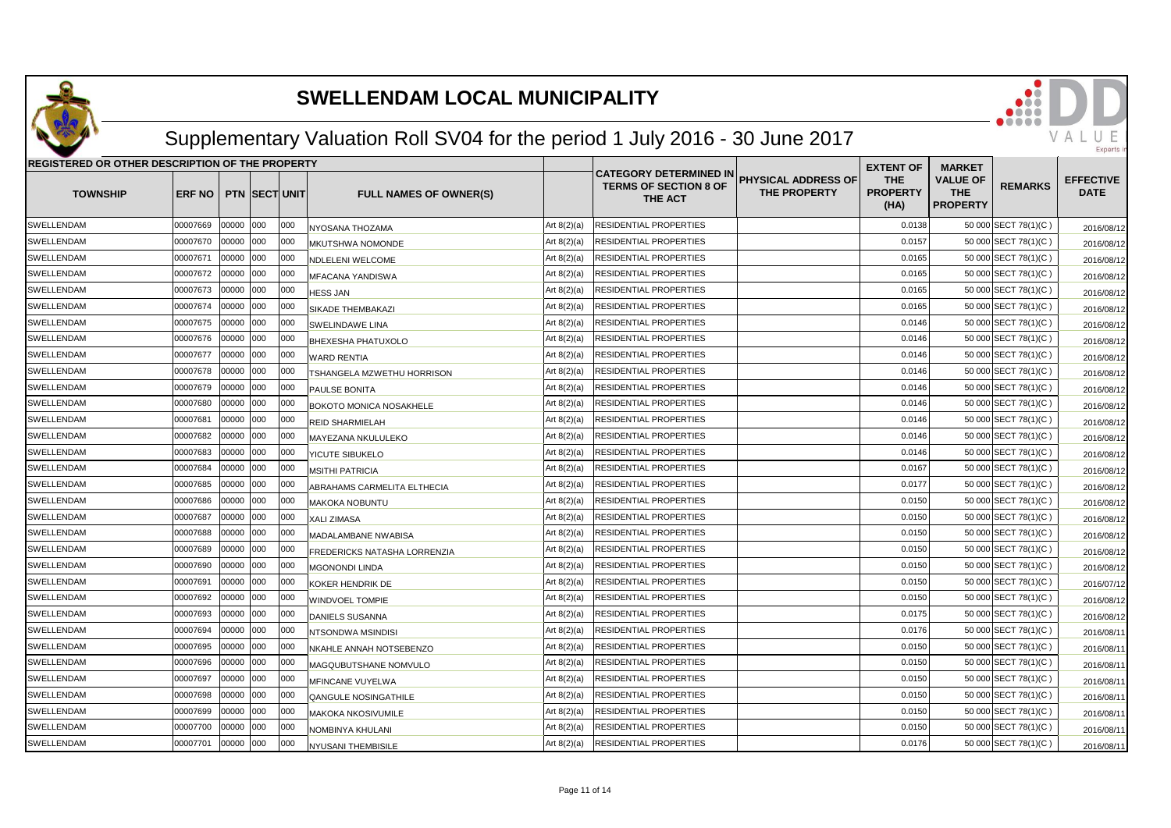

## Supplementary Valuation Roll SV04 for the period 1 July 2016 - 30 June 2017

| REGISTERED OR OTHER DESCRIPTION OF THE PROPERTY |                |       |                       |     |                                |               | <b>EXTENT OF</b>                                                         | <b>MARKET</b>                              |                                       |                                                  |                      |                                 |
|-------------------------------------------------|----------------|-------|-----------------------|-----|--------------------------------|---------------|--------------------------------------------------------------------------|--------------------------------------------|---------------------------------------|--------------------------------------------------|----------------------|---------------------------------|
| <b>TOWNSHIP</b>                                 | ERF NO         |       | <b>PTN ISECTIUNIT</b> |     | <b>FULL NAMES OF OWNER(S)</b>  |               | <b>CATEGORY DETERMINED IN</b><br><b>TERMS OF SECTION 8 OF</b><br>THE ACT | <b>PHYSICAL ADDRESS OF</b><br>THE PROPERTY | <b>THE</b><br><b>PROPERTY</b><br>(HA) | <b>VALUE OF</b><br><b>THE</b><br><b>PROPERTY</b> | <b>REMARKS</b>       | <b>EFFECTIVE</b><br><b>DATE</b> |
| <b>SWELLENDAM</b>                               | 00007669       | 00000 | 000                   | 000 | NYOSANA THOZAMA                | Art $8(2)(a)$ | RESIDENTIAL PROPERTIES                                                   |                                            | 0.0138                                |                                                  | 50 000 SECT 78(1)(C) | 2016/08/12                      |
| SWELLENDAM                                      | 00007670       | 00000 | 000                   | 000 | MKUTSHWA NOMONDE               | Art $8(2)(a)$ | RESIDENTIAL PROPERTIES                                                   |                                            | 0.0157                                |                                                  | 50 000 SECT 78(1)(C) | 2016/08/12                      |
| SWELLENDAM                                      | 00007671       | 00000 | 000                   | 000 | NDLELENI WELCOME               | Art $8(2)(a)$ | RESIDENTIAL PROPERTIES                                                   |                                            | 0.0165                                |                                                  | 50 000 SECT 78(1)(C) | 2016/08/12                      |
| <b>SWELLENDAM</b>                               | 00007672       | 00000 | 000                   | 000 | MFACANA YANDISWA               | Art $8(2)(a)$ | RESIDENTIAL PROPERTIES                                                   |                                            | 0.0165                                |                                                  | 50 000 SECT 78(1)(C) | 2016/08/12                      |
| SWELLENDAM                                      | 00007673       | 00000 | 000                   | 000 | <b>HESS JAN</b>                | Art $8(2)(a)$ | RESIDENTIAL PROPERTIES                                                   |                                            | 0.0165                                |                                                  | 50 000 SECT 78(1)(C) | 2016/08/12                      |
| <b>SWELLENDAM</b>                               | 00007674       | 00000 | 000                   | 000 | <b>SIKADE THEMBAKAZI</b>       | Art $8(2)(a)$ | RESIDENTIAL PROPERTIES                                                   |                                            | 0.0165                                |                                                  | 50 000 SECT 78(1)(C) | 2016/08/12                      |
| SWELLENDAM                                      | 00007675       | 00000 | 000                   | 000 | <b>SWELINDAWE LINA</b>         | Art $8(2)(a)$ | RESIDENTIAL PROPERTIES                                                   |                                            | 0.0146                                |                                                  | 50 000 SECT 78(1)(C) | 2016/08/12                      |
| SWELLENDAM                                      | 00007676       | 00000 | 000                   | 000 | <b>BHEXESHA PHATUXOLO</b>      | Art $8(2)(a)$ | RESIDENTIAL PROPERTIES                                                   |                                            | 0.0146                                |                                                  | 50 000 SECT 78(1)(C) | 2016/08/12                      |
| SWELLENDAM                                      | 00007677       | 00000 | 000                   | 000 | <b>WARD RENTIA</b>             | Art $8(2)(a)$ | RESIDENTIAL PROPERTIES                                                   |                                            | 0.0146                                |                                                  | 50 000 SECT 78(1)(C) | 2016/08/12                      |
| SWELLENDAM                                      | 00007678       | 00000 | 000                   | 000 | TSHANGELA MZWETHU HORRISON     | Art $8(2)(a)$ | RESIDENTIAL PROPERTIES                                                   |                                            | 0.0146                                |                                                  | 50 000 SECT 78(1)(C) | 2016/08/12                      |
| SWELLENDAM                                      | 00007679       | 00000 | 000                   | 000 | PAULSE BONITA                  | Art $8(2)(a)$ | RESIDENTIAL PROPERTIES                                                   |                                            | 0.0146                                |                                                  | 50 000 SECT 78(1)(C) | 2016/08/12                      |
| SWELLENDAM                                      | 00007680       | 00000 | 000                   | 000 | <b>BOKOTO MONICA NOSAKHELE</b> | Art $8(2)(a)$ | RESIDENTIAL PROPERTIES                                                   |                                            | 0.0146                                |                                                  | 50 000 SECT 78(1)(C) | 2016/08/12                      |
| SWELLENDAM                                      | 00007681       | 00000 | 000                   | 000 | <b>REID SHARMIELAH</b>         | Art $8(2)(a)$ | RESIDENTIAL PROPERTIES                                                   |                                            | 0.0146                                |                                                  | 50 000 SECT 78(1)(C) | 2016/08/12                      |
| SWELLENDAM                                      | 00007682       | 00000 | 000                   | 000 | MAYEZANA NKULULEKO             | Art $8(2)(a)$ | RESIDENTIAL PROPERTIES                                                   |                                            | 0.0146                                |                                                  | 50 000 SECT 78(1)(C) | 2016/08/12                      |
| <b>SWELLENDAM</b>                               | 00007683       | 00000 | 000                   | 000 | YICUTE SIBUKELO                | Art $8(2)(a)$ | RESIDENTIAL PROPERTIES                                                   |                                            | 0.0146                                |                                                  | 50 000 SECT 78(1)(C) | 2016/08/12                      |
| SWELLENDAM                                      | 00007684       | 00000 | 000                   | 000 | MSITHI PATRICIA                | Art $8(2)(a)$ | RESIDENTIAL PROPERTIES                                                   |                                            | 0.0167                                |                                                  | 50 000 SECT 78(1)(C) | 2016/08/12                      |
| SWELLENDAM                                      | 00007685       | 00000 | 000                   | 000 | ABRAHAMS CARMELITA ELTHECIA    | Art $8(2)(a)$ | RESIDENTIAL PROPERTIES                                                   |                                            | 0.0177                                |                                                  | 50 000 SECT 78(1)(C) | 2016/08/12                      |
| SWELLENDAM                                      | 00007686       | 00000 | 000                   | 000 | <b>MAKOKA NOBUNTU</b>          | Art $8(2)(a)$ | RESIDENTIAL PROPERTIES                                                   |                                            | 0.0150                                |                                                  | 50 000 SECT 78(1)(C) | 2016/08/12                      |
| SWELLENDAM                                      | 00007687       | 00000 | 000                   | 000 | XALI ZIMASA                    | Art $8(2)(a)$ | RESIDENTIAL PROPERTIES                                                   |                                            | 0.0150                                |                                                  | 50 000 SECT 78(1)(C) | 2016/08/12                      |
| SWELLENDAM                                      | 00007688       | 00000 | 000                   | 000 | MADALAMBANE NWABISA            | Art $8(2)(a)$ | RESIDENTIAL PROPERTIES                                                   |                                            | 0.0150                                |                                                  | 50 000 SECT 78(1)(C) | 2016/08/12                      |
| SWELLENDAM                                      | 00007689       | 00000 | 000                   | 000 | FREDERICKS NATASHA LORRENZIA   | Art $8(2)(a)$ | RESIDENTIAL PROPERTIES                                                   |                                            | 0.0150                                |                                                  | 50 000 SECT 78(1)(C) | 2016/08/12                      |
| <b>SWELLENDAM</b>                               | 00007690       | 00000 | 000                   | 000 | MGONONDI LINDA                 | Art $8(2)(a)$ | RESIDENTIAL PROPERTIES                                                   |                                            | 0.0150                                |                                                  | 50 000 SECT 78(1)(C) | 2016/08/12                      |
| <b>SWELLENDAM</b>                               | 00007691       | 00000 | 000                   | 000 | KOKER HENDRIK DE               | Art $8(2)(a)$ | RESIDENTIAL PROPERTIES                                                   |                                            | 0.0150                                |                                                  | 50 000 SECT 78(1)(C) | 2016/07/12                      |
| SWELLENDAM                                      | 00007692       | 00000 | 000                   | 000 | <b>WINDVOEL TOMPIE</b>         | Art $8(2)(a)$ | RESIDENTIAL PROPERTIES                                                   |                                            | 0.0150                                |                                                  | 50 000 SECT 78(1)(C) | 2016/08/12                      |
| SWELLENDAM                                      | 00007693       | 00000 | 000                   | 000 | <b>DANIELS SUSANNA</b>         | Art $8(2)(a)$ | RESIDENTIAL PROPERTIES                                                   |                                            | 0.0175                                |                                                  | 50 000 SECT 78(1)(C) | 2016/08/12                      |
| <b>SWELLENDAM</b>                               | 00007694       | 00000 | 000                   | 000 | NTSONDWA MSINDISI              | Art $8(2)(a)$ | RESIDENTIAL PROPERTIES                                                   |                                            | 0.0176                                |                                                  | 50 000 SECT 78(1)(C) | 2016/08/1                       |
| SWELLENDAM                                      | 00007695       | 00000 | 000                   | 000 | NKAHLE ANNAH NOTSEBENZO        | Art $8(2)(a)$ | RESIDENTIAL PROPERTIES                                                   |                                            | 0.0150                                |                                                  | 50 000 SECT 78(1)(C) | 2016/08/1                       |
| SWELLENDAM                                      | 00007696       | 00000 | 000                   | 000 | MAGQUBUTSHANE NOMVULO          | Art $8(2)(a)$ | RESIDENTIAL PROPERTIES                                                   |                                            | 0.0150                                |                                                  | 50 000 SECT 78(1)(C) | 2016/08/1                       |
| SWELLENDAM                                      | 00007697       | 00000 | 000                   | 000 | MFINCANE VUYELWA               | Art $8(2)(a)$ | RESIDENTIAL PROPERTIES                                                   |                                            | 0.0150                                |                                                  | 50 000 SECT 78(1)(C) | 2016/08/1                       |
| SWELLENDAM                                      | 00007698       | 00000 | 000                   | 000 | <b>QANGULE NOSINGATHILE</b>    | Art $8(2)(a)$ | RESIDENTIAL PROPERTIES                                                   |                                            | 0.0150                                |                                                  | 50 000 SECT 78(1)(C) | 2016/08/1                       |
| SWELLENDAM                                      | 00007699       | 00000 | 000                   | 000 | <b>MAKOKA NKOSIVUMILE</b>      | Art $8(2)(a)$ | RESIDENTIAL PROPERTIES                                                   |                                            | 0.0150                                |                                                  | 50 000 SECT 78(1)(C) | 2016/08/1                       |
| SWELLENDAM                                      | 00007700       | 00000 | 000                   | 000 | NOMBINYA KHULANI               | Art $8(2)(a)$ | RESIDENTIAL PROPERTIES                                                   |                                            | 0.0150                                |                                                  | 50 000 SECT 78(1)(C) | 2016/08/1                       |
| SWELLENDAM                                      | 00007701 00000 |       | 000                   | 000 | NYUSANI THEMBISILE             | Art $8(2)(a)$ | <b>RESIDENTIAL PROPERTIES</b>                                            |                                            | 0.0176                                |                                                  | 50 000 SECT 78(1)(C) | 2016/08/11                      |

VALU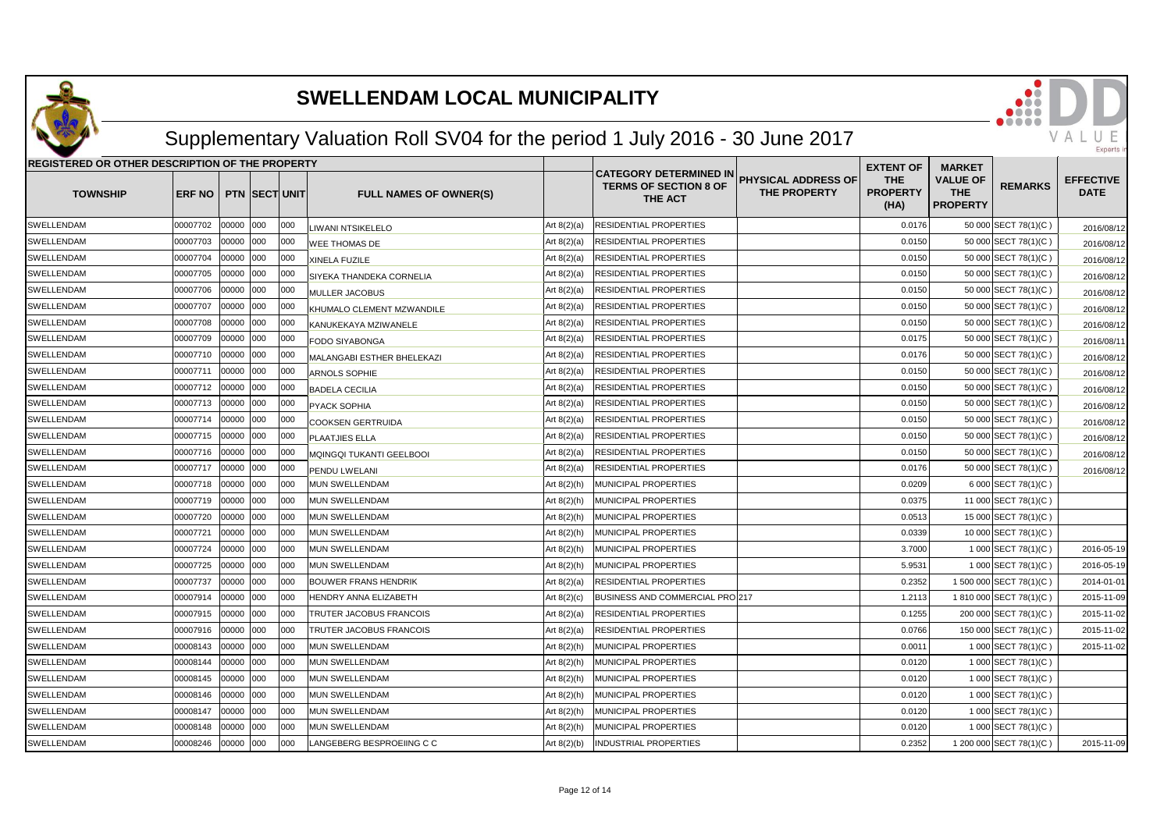

## Supplementary Valuation Roll SV04 for the period 1 July 2016 - 30 June 2017

| REGISTERED OR OTHER DESCRIPTION OF THE PROPERTY |               |           |                      |      |                               |               |                                                                          | <b>EXTENT OF</b>                           | <b>MARKET</b>                         |                                                  |                         |                                 |
|-------------------------------------------------|---------------|-----------|----------------------|------|-------------------------------|---------------|--------------------------------------------------------------------------|--------------------------------------------|---------------------------------------|--------------------------------------------------|-------------------------|---------------------------------|
| <b>TOWNSHIP</b>                                 | <b>ERF NO</b> |           | <b>PTN SECT UNIT</b> |      | <b>FULL NAMES OF OWNER(S)</b> |               | <b>CATEGORY DETERMINED IN</b><br><b>TERMS OF SECTION 8 OF</b><br>THE ACT | PHYSICAL ADDRESS OF<br><b>THE PROPERTY</b> | <b>THE</b><br><b>PROPERTY</b><br>(HA) | <b>VALUE OF</b><br><b>THE</b><br><b>PROPERTY</b> | <b>REMARKS</b>          | <b>EFFECTIVE</b><br><b>DATE</b> |
| SWELLENDAM                                      | 00007702      | 00000     | 000                  | 000  | <b>IWANI NTSIKELELO</b>       | Art $8(2)(a)$ | RESIDENTIAL PROPERTIES                                                   |                                            | 0.0176                                |                                                  | 50 000 SECT 78(1)(C)    | 2016/08/12                      |
| SWELLENDAM                                      | 00007703      | 00000     | 000                  | 000  | WEE THOMAS DE                 | Art 8(2)(a)   | RESIDENTIAL PROPERTIES                                                   |                                            | 0.0150                                |                                                  | 50 000 SECT 78(1)(C)    | 2016/08/12                      |
| SWELLENDAM                                      | 00007704      | 00000     | 000                  | 000  | XINELA FUZILE                 | Art 8(2)(a)   | RESIDENTIAL PROPERTIES                                                   |                                            | 0.0150                                |                                                  | 50 000 SECT 78(1)(C)    | 2016/08/12                      |
| SWELLENDAM                                      | 00007705      | 00000     | 000                  | 000  | SIYEKA THANDEKA CORNELIA      | Art $8(2)(a)$ | RESIDENTIAL PROPERTIES                                                   |                                            | 0.0150                                |                                                  | 50 000 SECT 78(1)(C)    | 2016/08/12                      |
| <b>SWELLENDAM</b>                               | 00007706      | 00000     | 000                  | 000  | MULLER JACOBUS                | Art $8(2)(a)$ | RESIDENTIAL PROPERTIES                                                   |                                            | 0.0150                                |                                                  | 50 000 SECT 78(1)(C)    | 2016/08/12                      |
| SWELLENDAM                                      | 00007707      | 00000     | 000                  | 000  | KHUMALO CLEMENT MZWANDILE     | Art $8(2)(a)$ | RESIDENTIAL PROPERTIES                                                   |                                            | 0.0150                                |                                                  | 50 000 SECT 78(1)(C)    | 2016/08/12                      |
| SWELLENDAM                                      | 00007708      | 00000     | 000                  | 000  | KANUKEKAYA MZIWANELE          | Art $8(2)(a)$ | RESIDENTIAL PROPERTIES                                                   |                                            | 0.0150                                |                                                  | 50 000 SECT 78(1)(C)    | 2016/08/12                      |
| SWELLENDAM                                      | 00007709      | 00000 000 |                      | 000  | FODO SIYABONGA                | Art $8(2)(a)$ | RESIDENTIAL PROPERTIES                                                   |                                            | 0.0175                                |                                                  | 50 000 SECT 78(1)(C)    | 2016/08/1                       |
| SWELLENDAM                                      | 00007710      | 00000     | 000                  | 000  | MALANGABI ESTHER BHELEKAZI    | Art $8(2)(a)$ | RESIDENTIAL PROPERTIES                                                   |                                            | 0.0176                                |                                                  | 50 000 SECT 78(1)(C)    | 2016/08/12                      |
| SWELLENDAM                                      | 00007711      | 00000     | 000                  | 000  | ARNOLS SOPHIE                 | Art $8(2)(a)$ | RESIDENTIAL PROPERTIES                                                   |                                            | 0.0150                                |                                                  | 50 000 SECT 78(1)(C)    | 2016/08/12                      |
| SWELLENDAM                                      | 00007712      | 00000     | 000                  | 000  | <b>BADELA CECILIA</b>         | Art $8(2)(a)$ | RESIDENTIAL PROPERTIES                                                   |                                            | 0.0150                                |                                                  | 50 000 SECT 78(1)(C)    | 2016/08/12                      |
| SWELLENDAM                                      | 00007713      | 00000     | 000                  | 000  | PYACK SOPHIA                  | Art $8(2)(a)$ | RESIDENTIAL PROPERTIES                                                   |                                            | 0.0150                                |                                                  | 50 000 SECT 78(1)(C)    | 2016/08/12                      |
| SWELLENDAM                                      | 00007714      | 00000     | 000                  | 000  | <b>COOKSEN GERTRUIDA</b>      | Art 8(2)(a)   | RESIDENTIAL PROPERTIES                                                   |                                            | 0.0150                                |                                                  | 50 000 SECT 78(1)(C)    | 2016/08/12                      |
| SWELLENDAM                                      | 00007715      | 00000     | 000                  | 000  | PLAATJIES ELLA                | Art $8(2)(a)$ | RESIDENTIAL PROPERTIES                                                   |                                            | 0.0150                                |                                                  | 50 000 SECT 78(1)(C)    | 2016/08/12                      |
| SWELLENDAM                                      | 00007716      | 00000     | 000                  | 000  | MQINGQI TUKANTI GEELBOOI      | Art $8(2)(a)$ | RESIDENTIAL PROPERTIES                                                   |                                            | 0.0150                                |                                                  | 50 000 SECT 78(1)(C)    | 2016/08/12                      |
| SWELLENDAM                                      | 00007717      | 00000     | 000                  | 000  | PENDU LWELANI                 | Art $8(2)(a)$ | RESIDENTIAL PROPERTIES                                                   |                                            | 0.0176                                |                                                  | 50 000 SECT 78(1)(C)    | 2016/08/12                      |
| SWELLENDAM                                      | 00007718      | 00000     | 000                  | 000  | MUN SWELLENDAM                | Art 8(2)(h)   | MUNICIPAL PROPERTIES                                                     |                                            | 0.0209                                |                                                  | 6 000 SECT 78(1)(C)     |                                 |
| SWELLENDAM                                      | 00007719      | 00000     | 000                  | 000  | MUN SWELLENDAM                | Art 8(2)(h)   | MUNICIPAL PROPERTIES                                                     |                                            | 0.0375                                |                                                  | 11 000 SECT 78(1)(C)    |                                 |
| SWELLENDAM                                      | 00007720      | 00000     | 000                  | 000  | MUN SWELLENDAM                | Art $8(2)(h)$ | MUNICIPAL PROPERTIES                                                     |                                            | 0.0513                                |                                                  | 15 000 SECT 78(1)(C)    |                                 |
| SWELLENDAM                                      | 00007721      | 00000     | 000                  | 000  | MUN SWELLENDAM                | Art 8(2)(h)   | MUNICIPAL PROPERTIES                                                     |                                            | 0.0339                                |                                                  | 10 000 SECT 78(1)(C)    |                                 |
| SWELLENDAM                                      | 00007724      | 00000     | 000                  | 1000 | MUN SWELLENDAM                | Art 8(2)(h)   | MUNICIPAL PROPERTIES                                                     |                                            | 3.7000                                |                                                  | 1 000 SECT 78(1)(C)     | 2016-05-19                      |
| SWELLENDAM                                      | 00007725      | 00000     | 000                  | 000  | MUN SWELLENDAM                | Art 8(2)(h)   | MUNICIPAL PROPERTIES                                                     |                                            | 5.953'                                |                                                  | 1 000 SECT 78(1)(C)     | 2016-05-19                      |
| SWELLENDAM                                      | 00007737      | 00000     | 000                  | 000  | <b>BOUWER FRANS HENDRIK</b>   | Art 8(2)(a)   | RESIDENTIAL PROPERTIES                                                   |                                            | 0.2352                                |                                                  | 1 500 000 SECT 78(1)(C) | 2014-01-01                      |
| SWELLENDAM                                      | 00007914      | 00000     | 000                  | 000  | HENDRY ANNA ELIZABETH         | Art $8(2)(c)$ | BUSINESS AND COMMERCIAL PRO 217                                          |                                            | 1.2113                                |                                                  | 1 810 000 SECT 78(1)(C) | 2015-11-09                      |
| SWELLENDAM                                      | 00007915      | 00000     | 000                  | 000  | TRUTER JACOBUS FRANCOIS       | Art $8(2)(a)$ | RESIDENTIAL PROPERTIES                                                   |                                            | 0.1255                                |                                                  | 200 000 SECT 78(1)(C)   | 2015-11-02                      |
| SWELLENDAM                                      | 00007916      | 00000     | 000                  | 000  | TRUTER JACOBUS FRANCOIS       | Art $8(2)(a)$ | RESIDENTIAL PROPERTIES                                                   |                                            | 0.0766                                |                                                  | 150 000 SECT 78(1)(C)   | 2015-11-02                      |
| SWELLENDAM                                      | 00008143      | 00000     | 000                  | 000  | MUN SWELLENDAM                | Art $8(2)(h)$ | MUNICIPAL PROPERTIES                                                     |                                            | 0.001                                 |                                                  | 1 000 SECT 78(1)(C)     | 2015-11-02                      |
| SWELLENDAM                                      | 00008144      | 00000     | 000                  | 000  | MUN SWELLENDAM                | Art $8(2)(h)$ | MUNICIPAL PROPERTIES                                                     |                                            | 0.0120                                |                                                  | 1 000 SECT 78(1)(C)     |                                 |
| SWELLENDAM                                      | 00008145      | 00000     | 000                  | 000  | MUN SWELLENDAM                | Art $8(2)(h)$ | MUNICIPAL PROPERTIES                                                     |                                            | 0.0120                                |                                                  | 1 000 SECT 78(1)(C)     |                                 |
| SWELLENDAM                                      | 00008146      | 00000     | 000                  | 000  | MUN SWELLENDAM                | Art $8(2)(h)$ | MUNICIPAL PROPERTIES                                                     |                                            | 0.0120                                |                                                  | 1 000 SECT 78(1)(C)     |                                 |
| SWELLENDAM                                      | 00008147      | 00000     | 000                  | 000  | MUN SWELLENDAM                | Art 8(2)(h)   | MUNICIPAL PROPERTIES                                                     |                                            | 0.0120                                |                                                  | 1 000 SECT 78(1)(C)     |                                 |
| SWELLENDAM                                      | 00008148      | 00000     | 000                  | 000  | MUN SWELLENDAM                | Art 8(2)(h)   | MUNICIPAL PROPERTIES                                                     |                                            | 0.0120                                |                                                  | 1 000 SECT 78(1)(C)     |                                 |
| SWELLENDAM                                      | 00008246      | 00000     | 000                  | 000  | LANGEBERG BESPROEIING C C     | Art $8(2)(b)$ | INDUSTRIAL PROPERTIES                                                    |                                            | 0.2352                                |                                                  | 1 200 000 SECT 78(1)(C) | 2015-11-09                      |

VALU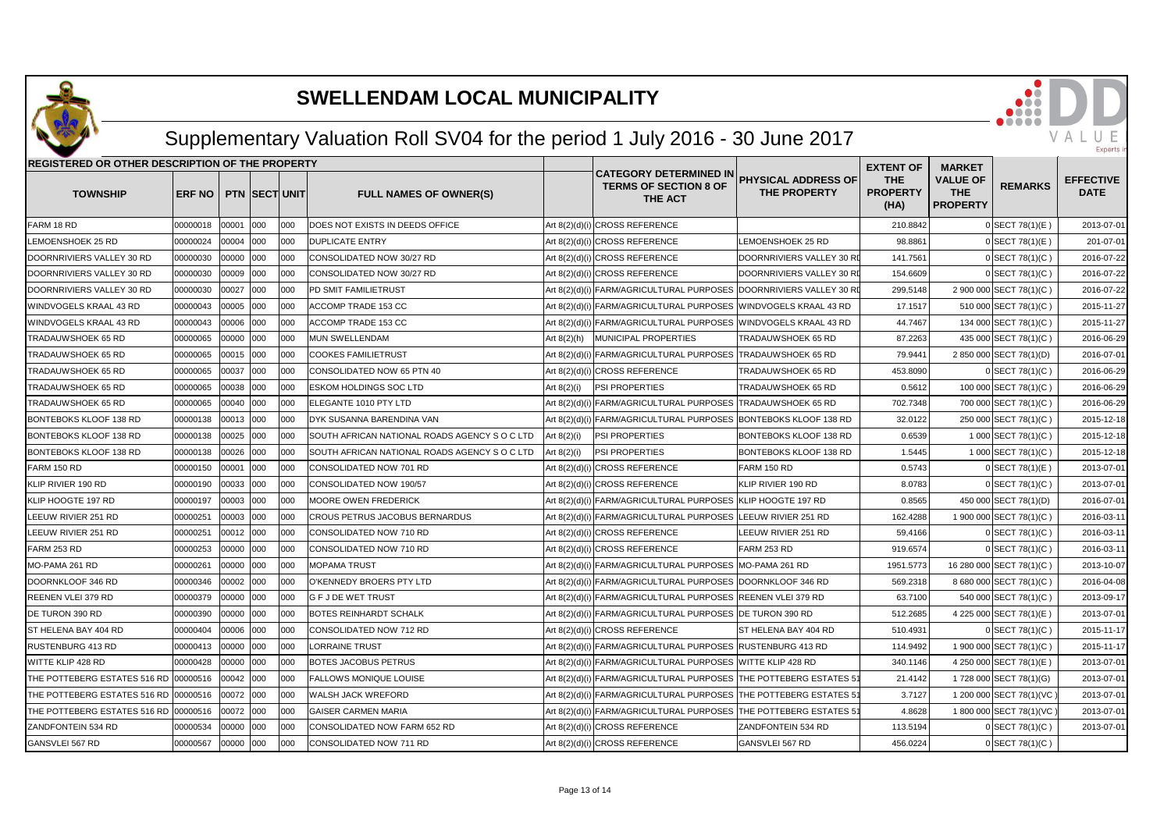

## Supplementary Valuation Roll SV04 for the period 1 July 2016 - 30 June 2017

| <b>REGISTERED OR OTHER DESCRIPTION OF THE PROPERTY</b> |               |           |                      |      |                                               |               |                                                                          |                                                   | <b>EXTENT OF</b>                      | <b>MARKET</b>                                    |                          |                                 |
|--------------------------------------------------------|---------------|-----------|----------------------|------|-----------------------------------------------|---------------|--------------------------------------------------------------------------|---------------------------------------------------|---------------------------------------|--------------------------------------------------|--------------------------|---------------------------------|
| <b>TOWNSHIP</b>                                        | <b>ERF NO</b> |           | <b>PTN SECT UNIT</b> |      | <b>FULL NAMES OF OWNER(S)</b>                 |               | <b>CATEGORY DETERMINED IN</b><br><b>TERMS OF SECTION 8 OF</b><br>THE ACT | <b>PHYSICAL ADDRESS OF</b><br><b>THE PROPERTY</b> | <b>THE</b><br><b>PROPERTY</b><br>(HA) | <b>VALUE OF</b><br><b>THE</b><br><b>PROPERTY</b> | <b>REMARKS</b>           | <b>EFFECTIVE</b><br><b>DATE</b> |
| FARM 18 RD                                             | 00000018      | 00001 000 |                      | 000  | <b>DOES NOT EXISTS IN DEEDS OFFICE</b>        |               | Art 8(2)(d)(i) CROSS REFERENCE                                           |                                                   | 210.8842                              |                                                  | 0 SECT 78(1)(E)          | 2013-07-01                      |
| LEMOENSHOEK 25 RD                                      | 00000024      | 00004 000 |                      | 000  | <b>DUPLICATE ENTRY</b>                        |               | Art 8(2)(d)(i) CROSS REFERENCE                                           | LEMOENSHOEK 25 RD                                 | 98.8861                               |                                                  | 0 SECT 78(1)(E)          | 201-07-01                       |
| DOORNRIVIERS VALLEY 30 RD                              | 00000030      | 00000 000 |                      | 000  | CONSOLIDATED NOW 30/27 RD                     |               | Art 8(2)(d)(i) CROSS REFERENCE                                           | DOORNRIVIERS VALLEY 30 RI                         | 141.7561                              |                                                  | 0 SECT 78(1)(C)          | 2016-07-22                      |
| DOORNRIVIERS VALLEY 30 RD                              | 00000030      | 00009     | 000                  | 000  | CONSOLIDATED NOW 30/27 RD                     |               | Art 8(2)(d)(i) CROSS REFERENCE                                           | DOORNRIVIERS VALLEY 30 RI                         | 154.6609                              |                                                  | $0$ SECT 78(1)(C)        | 2016-07-22                      |
| DOORNRIVIERS VALLEY 30 RD                              | 00000030      | 00027     | 000                  | 000  | PD SMIT FAMILIETRUST                          |               | Art 8(2)(d)(i) FARM/AGRICULTURAL PURPOSES DOORNRIVIERS VALLEY 30 RI      |                                                   | 299,5148                              |                                                  | 2 900 000 SECT 78(1)(C)  | 2016-07-22                      |
| WINDVOGELS KRAAL 43 RD                                 | 00000043      | 00005 000 |                      | 000  | ACCOMP TRADE 153 CC                           |               | Art 8(2)(d)(i) FARM/AGRICULTURAL PURPOSES WINDVOGELS KRAAL 43 RD         |                                                   | 17.1517                               |                                                  | 510 000 SECT 78(1)(C)    | 2015-11-27                      |
| WINDVOGELS KRAAL 43 RD                                 | 00000043      | 00006 000 |                      | 000  | <b>ACCOMP TRADE 153 CC</b>                    |               | Art 8(2)(d)(i) FARM/AGRICULTURAL PURPOSES WINDVOGELS KRAAL 43 RD         |                                                   | 44.7467                               |                                                  | 134 000 SECT 78(1)(C)    | 2015-11-27                      |
| TRADAUWSHOEK 65 RD                                     | 00000065      | 00000 000 |                      | 000  | <b>MUN SWELLENDAM</b>                         | Art $8(2)(h)$ | <b>MUNICIPAL PROPERTIES</b>                                              | TRADAUWSHOEK 65 RD                                | 87.2263                               |                                                  | 435 000 SECT 78(1)(C)    | 2016-06-29                      |
| TRADAUWSHOEK 65 RD                                     | 00000065      | 00015     | 000                  | 000  | <b>COOKES FAMILIETRUST</b>                    |               | Art 8(2)(d)(i) FARM/AGRICULTURAL PURPOSES TRADAUWSHOEK 65 RD             |                                                   | 79.9441                               |                                                  | 2 850 000 SECT 78(1)(D)  | 2016-07-01                      |
| TRADAUWSHOEK 65 RD                                     | 00000065      | 00037     | 000                  | 000  | CONSOLIDATED NOW 65 PTN 40                    |               | Art 8(2)(d)(i) CROSS REFERENCE                                           | TRADAUWSHOEK 65 RD                                | 453.8090                              |                                                  | 0 SECT 78(1)(C)          | 2016-06-29                      |
| TRADAUWSHOEK 65 RD                                     | 00000065      | 00038     | 000                  | 000  | <b>ESKOM HOLDINGS SOC LTD</b>                 | Art $8(2)(i)$ | <b>PSI PROPERTIES</b>                                                    | TRADAUWSHOEK 65 RD                                | 0.5612                                |                                                  | 100 000 SECT 78(1)(C)    | 2016-06-29                      |
| TRADAUWSHOEK 65 RD                                     | 00000065      | 00040     | 000                  | 000  | ELEGANTE 1010 PTY LTD                         |               | Art 8(2)(d)(i) FARM/AGRICULTURAL PURPOSES TRADAUWSHOEK 65 RD             |                                                   | 702.7348                              |                                                  | 700 000 SECT 78(1)(C)    | 2016-06-29                      |
| BONTEBOKS KLOOF 138 RD                                 | 00000138      | 00013 000 |                      | 000  | DYK SUSANNA BARENDINA VAN                     |               | Art 8(2)(d)(i) FARM/AGRICULTURAL PURPOSES BONTEBOKS KLOOF 138 RD         |                                                   | 32.0122                               |                                                  | 250 000 SECT 78(1)(C)    | 2015-12-18                      |
| BONTEBOKS KLOOF 138 RD                                 | 00000138      | 00025     | 000                  | 000  | SOUTH AFRICAN NATIONAL ROADS AGENCY S O C LTD | Art $8(2)(i)$ | <b>PSI PROPERTIES</b>                                                    | <b>BONTEBOKS KLOOF 138 RD</b>                     | 0.6539                                |                                                  | 1 000 SECT 78(1)(C)      | 2015-12-18                      |
| BONTEBOKS KLOOF 138 RD                                 | 00000138      | 00026     | 000                  | 000  | SOUTH AFRICAN NATIONAL ROADS AGENCY SO C LTD  | Art $8(2)(i)$ | <b>PSI PROPERTIES</b>                                                    | BONTEBOKS KLOOF 138 RD                            | 1.5445                                |                                                  | 1 000 SECT 78(1)(C)      | 2015-12-18                      |
| FARM 150 RD                                            | 00000150      | 00001     | 000                  | 000  | CONSOLIDATED NOW 701 RD                       |               | Art 8(2)(d)(i) CROSS REFERENCE                                           | FARM 150 RD                                       | 0.5743                                |                                                  | 0 SECT 78(1)(E)          | 2013-07-01                      |
| KLIP RIVIER 190 RD                                     | 00000190      | 00033     | 000                  | 000  | CONSOLIDATED NOW 190/57                       |               | Art 8(2)(d)(i) CROSS REFERENCE                                           | KLIP RIVIER 190 RD                                | 8.0783                                |                                                  | $0$ SECT 78(1)(C)        | 2013-07-01                      |
| KLIP HOOGTE 197 RD                                     | 00000197      | 00003     | 000                  | 000  | <b>MOORE OWEN FREDERICK</b>                   |               | Art 8(2)(d)(i) FARM/AGRICULTURAL PURPOSES KLIP HOOGTE 197 RD             |                                                   | 0.8565                                |                                                  | 450 000 SECT 78(1)(D)    | 2016-07-01                      |
| LEEUW RIVIER 251 RD                                    | 00000251      | 00003     | 000                  | 000  | CROUS PETRUS JACOBUS BERNARDUS                |               | Art 8(2)(d)(i) FARM/AGRICULTURAL PURPOSES LEEUW RIVIER 251 RD            |                                                   | 162.4288                              |                                                  | 1 900 000 SECT 78(1)(C)  | 2016-03-1                       |
| LEEUW RIVIER 251 RD                                    | 00000251      | 00012 000 |                      | 1000 | CONSOLIDATED NOW 710 RD                       |               | Art 8(2)(d)(i) CROSS REFERENCE                                           | LEEUW RIVIER 251 RD                               | 59,4166                               |                                                  | 0 SECT 78(1)(C)          | 2016-03-1                       |
| FARM 253 RD                                            | 00000253      | 00000     | 000                  | 000  | CONSOLIDATED NOW 710 RD                       |               | Art 8(2)(d)(i) CROSS REFERENCE                                           | FARM 253 RD                                       | 919.6574                              |                                                  | 0 SECT 78(1)(C)          | 2016-03-1                       |
| MO-PAMA 261 RD                                         | 00000261      | 00000     | 000                  | 000  | <b>MOPAMA TRUST</b>                           |               | Art 8(2)(d)(i) FARM/AGRICULTURAL PURPOSES MO-PAMA 261 RD                 |                                                   | 1951.5773                             |                                                  | 16 280 000 SECT 78(1)(C) | 2013-10-07                      |
| DOORNKLOOF 346 RD                                      | 00000346      | 00002     | 000                  | 000  | O'KENNEDY BROERS PTY LTD                      |               | Art 8(2)(d)(i) FARM/AGRICULTURAL PURPOSES DOORNKLOOF 346 RD              |                                                   | 569.2318                              |                                                  | 8 680 000 SECT 78(1)(C)  | 2016-04-08                      |
| REENEN VLEI 379 RD                                     | 00000379      | 00000 000 |                      | 000  | <b>GFJDE WET TRUST</b>                        |               | Art 8(2)(d)(i) FARM/AGRICULTURAL PURPOSES REENEN VLEI 379 RD             |                                                   | 63.7100                               |                                                  | 540 000 SECT 78(1)(C)    | 2013-09-17                      |
| DE TURON 390 RD                                        | 00000390      | 00000 000 |                      | 000  | <b>BOTES REINHARDT SCHALK</b>                 |               | Art 8(2)(d)(i) FARM/AGRICULTURAL PURPOSES DE TURON 390 RD                |                                                   | 512.2685                              |                                                  | 4 225 000 SECT 78(1)(E)  | 2013-07-01                      |
| ST HELENA BAY 404 RD                                   | 00000404      | 00006     | 000                  | 000  | CONSOLIDATED NOW 712 RD                       |               | Art 8(2)(d)(i) CROSS REFERENCE                                           | ST HELENA BAY 404 RD                              | 510.4931                              |                                                  | 0 SECT 78(1)(C)          | 2015-11-17                      |
| RUSTENBURG 413 RD                                      | 00000413      | 00000     | 000                  | 000  | <b>LORRAINE TRUST</b>                         |               | Art 8(2)(d)(i) FARM/AGRICULTURAL PURPOSES RUSTENBURG 413 RD              |                                                   | 114.9492                              |                                                  | 1 900 000 SECT 78(1)(C)  | 2015-11-17                      |
| WITTE KLIP 428 RD                                      | 00000428      | 00000     | 000                  | 000  | <b>BOTES JACOBUS PETRUS</b>                   |               | Art 8(2)(d)(i) FARM/AGRICULTURAL PURPOSES WITTE KLIP 428 RD              |                                                   | 340.1146                              |                                                  | 4 250 000 SECT 78(1)(E)  | 2013-07-01                      |
| THE POTTEBERG ESTATES 516 RD 00000516                  |               | 00042 000 |                      | 000  | <b>FALLOWS MONIQUE LOUISE</b>                 |               | Art 8(2)(d)(i) FARM/AGRICULTURAL PURPOSES THE POTTEBERG ESTATES 51       |                                                   | 21.4142                               |                                                  | 1728 000 SECT 78(1)(G)   | 2013-07-01                      |
| THE POTTEBERG ESTATES 516 RD 00000516                  |               | 00072 000 |                      | 000  | WALSH JACK WREFORD                            |               | Art 8(2)(d)(i) FARM/AGRICULTURAL PURPOSES THE POTTEBERG ESTATES 51       |                                                   | 3.7127                                |                                                  | 1 200 000 SECT 78(1)(VC  | 2013-07-01                      |
| THE POTTEBERG ESTATES 516 RD 00000516                  |               | 00072 000 |                      | 000  | <b>GAISER CARMEN MARIA</b>                    |               | Art 8(2)(d)(i) FARM/AGRICULTURAL PURPOSES THE POTTEBERG ESTATES 51       |                                                   | 4.8628                                |                                                  | 1 800 000 SECT 78(1)(VC  | 2013-07-01                      |
| ZANDFONTEIN 534 RD                                     | 00000534      | 00000     | 000                  | 000  | CONSOLIDATED NOW FARM 652 RD                  |               | Art 8(2)(d)(i) CROSS REFERENCE                                           | ZANDFONTEIN 534 RD                                | 113.5194                              |                                                  | 0 SECT 78(1)(C)          | 2013-07-0                       |
| GANSVLEI 567 RD                                        | 00000567      | 00000     | 000                  | 000  | CONSOLIDATED NOW 711 RD                       |               | Art 8(2)(d)(i) CROSS REFERENCE                                           | GANSVLEI 567 RD                                   | 456.0224                              |                                                  | 0 SECT 78(1)(C)          |                                 |

VAL